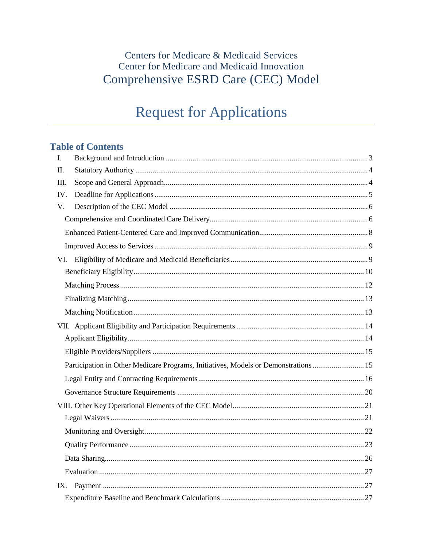# Centers for Medicare & Medicaid Services Center for Medicare and Medicaid Innovation Comprehensive ESRD Care (CEC) Model

# **Request for Applications**

# **Table of Contents**

| $\mathbf{I}$ . |                                                                                     |
|----------------|-------------------------------------------------------------------------------------|
| II.            |                                                                                     |
| Ш.             |                                                                                     |
| IV.            |                                                                                     |
| V.             |                                                                                     |
|                |                                                                                     |
|                |                                                                                     |
|                |                                                                                     |
|                |                                                                                     |
|                |                                                                                     |
|                |                                                                                     |
|                |                                                                                     |
|                |                                                                                     |
|                |                                                                                     |
|                |                                                                                     |
|                |                                                                                     |
|                | Participation in Other Medicare Programs, Initiatives, Models or Demonstrations  15 |
|                |                                                                                     |
|                |                                                                                     |
|                |                                                                                     |
|                |                                                                                     |
|                |                                                                                     |
|                |                                                                                     |
|                |                                                                                     |
|                |                                                                                     |
|                |                                                                                     |
|                |                                                                                     |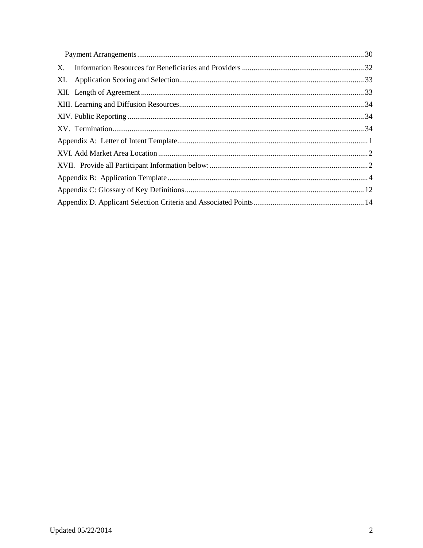| X. |  |
|----|--|
|    |  |
|    |  |
|    |  |
|    |  |
|    |  |
|    |  |
|    |  |
|    |  |
|    |  |
|    |  |
|    |  |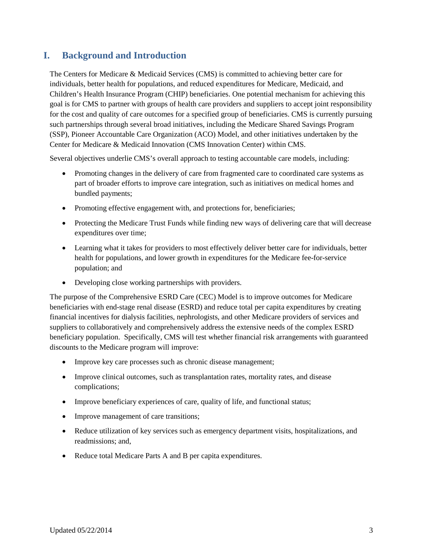# <span id="page-2-0"></span>**I. Background and Introduction**

The Centers for Medicare & Medicaid Services (CMS) is committed to achieving better care for individuals, better health for populations, and reduced expenditures for Medicare, Medicaid, and Children's Health Insurance Program (CHIP) beneficiaries. One potential mechanism for achieving this goal is for CMS to partner with groups of health care providers and suppliers to accept joint responsibility for the cost and quality of care outcomes for a specified group of beneficiaries. CMS is currently pursuing such partnerships through several broad initiatives, including the Medicare Shared Savings Program (SSP), Pioneer Accountable Care Organization (ACO) Model, and other initiatives undertaken by the Center for Medicare & Medicaid Innovation (CMS Innovation Center) within CMS.

Several objectives underlie CMS's overall approach to testing accountable care models, including:

- Promoting changes in the delivery of care from fragmented care to coordinated care systems as part of broader efforts to improve care integration, such as initiatives on medical homes and bundled payments;
- Promoting effective engagement with, and protections for, beneficiaries;
- Protecting the Medicare Trust Funds while finding new ways of delivering care that will decrease expenditures over time;
- Learning what it takes for providers to most effectively deliver better care for individuals, better health for populations, and lower growth in expenditures for the Medicare fee-for-service population; and
- Developing close working partnerships with providers.

The purpose of the Comprehensive ESRD Care (CEC) Model is to improve outcomes for Medicare beneficiaries with end-stage renal disease (ESRD) and reduce total per capita expenditures by creating financial incentives for dialysis facilities, nephrologists, and other Medicare providers of services and suppliers to collaboratively and comprehensively address the extensive needs of the complex ESRD beneficiary population. Specifically, CMS will test whether financial risk arrangements with guaranteed discounts to the Medicare program will improve:

- Improve key care processes such as chronic disease management;
- Improve clinical outcomes, such as transplantation rates, mortality rates, and disease complications;
- Improve beneficiary experiences of care, quality of life, and functional status;
- Improve management of care transitions;
- Reduce utilization of key services such as emergency department visits, hospitalizations, and readmissions; and,
- Reduce total Medicare Parts A and B per capita expenditures.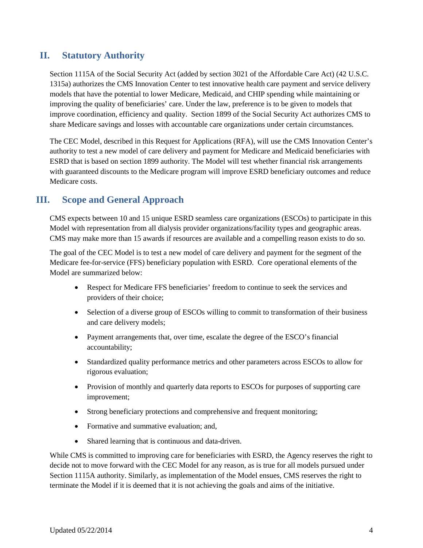# <span id="page-3-0"></span>**II. Statutory Authority**

Section 1115A of the Social Security Act (added by section 3021 of the Affordable Care Act) (42 U.S.C. 1315a) authorizes the CMS Innovation Center to test innovative health care payment and service delivery models that have the potential to lower Medicare, Medicaid, and CHIP spending while maintaining or improving the quality of beneficiaries' care. Under the law, preference is to be given to models that improve coordination, efficiency and quality. Section 1899 of the Social Security Act authorizes CMS to share Medicare savings and losses with accountable care organizations under certain circumstances.

The CEC Model, described in this Request for Applications (RFA), will use the CMS Innovation Center's authority to test a new model of care delivery and payment for Medicare and Medicaid beneficiaries with ESRD that is based on section 1899 authority. The Model will test whether financial risk arrangements with guaranteed discounts to the Medicare program will improve ESRD beneficiary outcomes and reduce Medicare costs.

### <span id="page-3-1"></span>**III. Scope and General Approach**

CMS expects between 10 and 15 unique ESRD seamless care organizations (ESCOs) to participate in this Model with representation from all dialysis provider organizations/facility types and geographic areas. CMS may make more than 15 awards if resources are available and a compelling reason exists to do so.

The goal of the CEC Model is to test a new model of care delivery and payment for the segment of the Medicare fee-for-service (FFS) beneficiary population with ESRD. Core operational elements of the Model are summarized below:

- Respect for Medicare FFS beneficiaries' freedom to continue to seek the services and providers of their choice;
- Selection of a diverse group of ESCOs willing to commit to transformation of their business and care delivery models;
- Payment arrangements that, over time, escalate the degree of the ESCO's financial accountability;
- Standardized quality performance metrics and other parameters across ESCOs to allow for rigorous evaluation;
- Provision of monthly and quarterly data reports to ESCOs for purposes of supporting care improvement;
- Strong beneficiary protections and comprehensive and frequent monitoring;
- Formative and summative evaluation; and,
- Shared learning that is continuous and data-driven.

While CMS is committed to improving care for beneficiaries with ESRD, the Agency reserves the right to decide not to move forward with the CEC Model for any reason, as is true for all models pursued under Section 1115A authority. Similarly, as implementation of the Model ensues, CMS reserves the right to terminate the Model if it is deemed that it is not achieving the goals and aims of the initiative.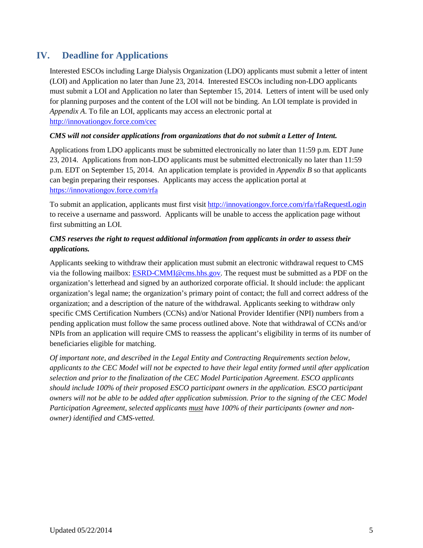# <span id="page-4-0"></span>**IV. Deadline for Applications**

Interested ESCOs including Large Dialysis Organization (LDO) applicants must submit a letter of intent (LOI) and Application no later than June 23, 2014. Interested ESCOs including non-LDO applicants must submit a LOI and Application no later than September 15, 2014. Letters of intent will be used only for planning purposes and the content of the LOI will not be binding. An LOI template is provided in *Appendix A*. To file an LOI, applicants may access an electronic portal at <http://innovationgov.force.com/cec>

#### *CMS will not consider applications from organizations that do not submit a Letter of Intent.*

Applications from LDO applicants must be submitted electronically no later than 11:59 p.m. EDT June 23, 2014. Applications from non-LDO applicants must be submitted electronically no later than 11:59 p.m. EDT on September 15, 2014. An application template is provided in *Appendix B* so that applicants can begin preparing their responses. Applicants may access the application portal at <https://innovationgov.force.com/rfa>

To submit an application, applicants must first visit<http://innovationgov.force.com/rfa/rfaRequestLogin> to receive a username and password. Applicants will be unable to access the application page without first submitting an LOI.

#### *CMS reserves the right to request additional information from applicants in order to assess their applications.*

Applicants seeking to withdraw their application must submit an electronic withdrawal request to CMS via the following mailbox: [ESRD-CMMI@cms.hhs.gov.](mailto:ESRD-CMMI@cms.hhs.gov) The request must be submitted as a PDF on the organization's letterhead and signed by an authorized corporate official. It should include: the applicant organization's legal name; the organization's primary point of contact; the full and correct address of the organization; and a description of the nature of the withdrawal. Applicants seeking to withdraw only specific CMS Certification Numbers (CCNs) and/or National Provider Identifier (NPI) numbers from a pending application must follow the same process outlined above. Note that withdrawal of CCNs and/or NPIs from an application will require CMS to reassess the applicant's eligibility in terms of its number of beneficiaries eligible for matching.

*Of important note, and described in the Legal Entity and Contracting Requirements section below, applicants to the CEC Model will not be expected to have their legal entity formed until after application selection and prior to the finalization of the CEC Model Participation Agreement. ESCO applicants should include 100% of their proposed ESCO participant owners in the application. ESCO participant owners will not be able to be added after application submission. Prior to the signing of the CEC Model Participation Agreement, selected applicants must have 100% of their participants (owner and nonowner) identified and CMS-vetted.*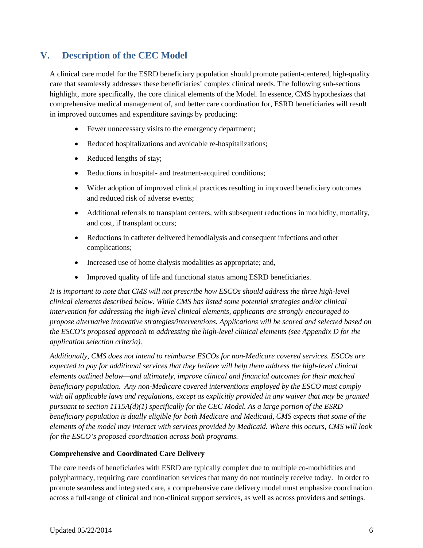# <span id="page-5-0"></span>**V. Description of the CEC Model**

A clinical care model for the ESRD beneficiary population should promote patient-centered, high-quality care that seamlessly addresses these beneficiaries' complex clinical needs. The following sub-sections highlight, more specifically, the core clinical elements of the Model. In essence, CMS hypothesizes that comprehensive medical management of, and better care coordination for, ESRD beneficiaries will result in improved outcomes and expenditure savings by producing:

- Fewer unnecessary visits to the emergency department;
- Reduced hospitalizations and avoidable re-hospitalizations;
- Reduced lengths of stay;
- Reductions in hospital- and treatment-acquired conditions;
- Wider adoption of improved clinical practices resulting in improved beneficiary outcomes and reduced risk of adverse events;
- Additional referrals to transplant centers, with subsequent reductions in morbidity, mortality, and cost, if transplant occurs;
- Reductions in catheter delivered hemodialysis and consequent infections and other complications;
- Increased use of home dialysis modalities as appropriate; and,
- Improved quality of life and functional status among ESRD beneficiaries.

*It is important to note that CMS will not prescribe how ESCOs should address the three high-level clinical elements described below. While CMS has listed some potential strategies and/or clinical intervention for addressing the high-level clinical elements, applicants are strongly encouraged to propose alternative innovative strategies/interventions. Applications will be scored and selected based on the ESCO's proposed approach to addressing the high-level clinical elements (see Appendix D for the application selection criteria).* 

*Additionally, CMS does not intend to reimburse ESCOs for non-Medicare covered services. ESCOs are expected to pay for additional services that they believe will help them address the high-level clinical elements outlined below—and ultimately, improve clinical and financial outcomes for their matched beneficiary population. Any non-Medicare covered interventions employed by the ESCO must comply with all applicable laws and regulations, except as explicitly provided in any waiver that may be granted pursuant to section 1115A(d)(1) specifically for the CEC Model. As a large portion of the ESRD beneficiary population is dually eligible for both Medicare and Medicaid, CMS expects that some of the elements of the model may interact with services provided by Medicaid. Where this occurs, CMS will look for the ESCO's proposed coordination across both programs.* 

#### <span id="page-5-1"></span>**Comprehensive and Coordinated Care Delivery**

The care needs of beneficiaries with ESRD are typically complex due to multiple co-morbidities and polypharmacy, requiring care coordination services that many do not routinely receive today. In order to promote seamless and integrated care, a comprehensive care delivery model must emphasize coordination across a full-range of clinical and non-clinical support services, as well as across providers and settings.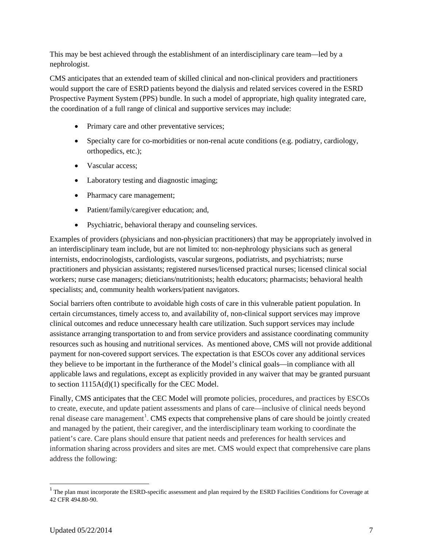This may be best achieved through the establishment of an interdisciplinary care team—led by a nephrologist.

CMS anticipates that an extended team of skilled clinical and non-clinical providers and practitioners would support the care of ESRD patients beyond the dialysis and related services covered in the ESRD Prospective Payment System (PPS) bundle. In such a model of appropriate, high quality integrated care, the coordination of a full range of clinical and supportive services may include:

- Primary care and other preventative services;
- Specialty care for co-morbidities or non-renal acute conditions (e.g. podiatry, cardiology, orthopedics, etc.);
- Vascular access:
- Laboratory testing and diagnostic imaging;
- Pharmacy care management;
- Patient/family/caregiver education; and,
- Psychiatric, behavioral therapy and counseling services.

Examples of providers (physicians and non-physician practitioners) that may be appropriately involved in an interdisciplinary team include, but are not limited to: non-nephrology physicians such as general internists, endocrinologists, cardiologists, vascular surgeons, podiatrists, and psychiatrists; nurse practitioners and physician assistants; registered nurses/licensed practical nurses; licensed clinical social workers; nurse case managers; dieticians/nutritionists; health educators; pharmacists; behavioral health specialists; and, community health workers/patient navigators.

Social barriers often contribute to avoidable high costs of care in this vulnerable patient population. In certain circumstances, timely access to, and availability of, non-clinical support services may improve clinical outcomes and reduce unnecessary health care utilization. Such support services may include assistance arranging transportation to and from service providers and assistance coordinating community resources such as housing and nutritional services. As mentioned above, CMS will not provide additional payment for non-covered support services. The expectation is that ESCOs cover any additional services they believe to be important in the furtherance of the Model's clinical goals—in compliance with all applicable laws and regulations, except as explicitly provided in any waiver that may be granted pursuant to section 1115A(d)(1) specifically for the CEC Model.

Finally, CMS anticipates that the CEC Model will promote policies, procedures, and practices by ESCOs to create, execute, and update patient assessments and plans of care—inclusive of clinical needs beyond renal disease care management<sup>[1](#page-6-0)</sup>. CMS expects that comprehensive plans of care should be jointly created and managed by the patient, their caregiver, and the interdisciplinary team working to coordinate the patient's care. Care plans should ensure that patient needs and preferences for health services and information sharing across providers and sites are met. CMS would expect that comprehensive care plans address the following:

i,

<span id="page-6-0"></span> $1$  The plan must incorporate the ESRD-specific assessment and plan required by the ESRD Facilities Conditions for Coverage at 42 CFR 494.80-90.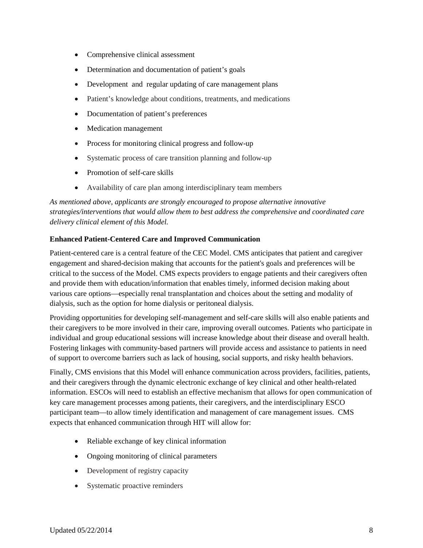- Comprehensive clinical assessment
- Determination and documentation of patient's goals
- Development and regular updating of care management plans
- Patient's knowledge about conditions, treatments, and medications
- Documentation of patient's preferences
- Medication management
- Process for monitoring clinical progress and follow-up
- Systematic process of care transition planning and follow-up
- Promotion of self-care skills
- Availability of care plan among interdisciplinary team members

*As mentioned above, applicants are strongly encouraged to propose alternative innovative strategies/interventions that would allow them to best address the comprehensive and coordinated care delivery clinical element of this Model.*

#### <span id="page-7-0"></span>**Enhanced Patient-Centered Care and Improved Communication**

Patient-centered care is a central feature of the CEC Model. CMS anticipates that patient and caregiver engagement and shared-decision making that accounts for the patient's goals and preferences will be critical to the success of the Model. CMS expects providers to engage patients and their caregivers often and provide them with education/information that enables timely, informed decision making about various care options—especially renal transplantation and choices about the setting and modality of dialysis, such as the option for home dialysis or peritoneal dialysis.

Providing opportunities for developing self-management and self-care skills will also enable patients and their caregivers to be more involved in their care, improving overall outcomes. Patients who participate in individual and group educational sessions will increase knowledge about their disease and overall health. Fostering linkages with community-based partners will provide access and assistance to patients in need of support to overcome barriers such as lack of housing, social supports, and risky health behaviors.

Finally, CMS envisions that this Model will enhance communication across providers, facilities, patients, and their caregivers through the dynamic electronic exchange of key clinical and other health-related information. ESCOs will need to establish an effective mechanism that allows for open communication of key care management processes among patients, their caregivers, and the interdisciplinary ESCO participant team—to allow timely identification and management of care management issues. CMS expects that enhanced communication through HIT will allow for:

- Reliable exchange of key clinical information
- Ongoing monitoring of clinical parameters
- Development of registry capacity
- Systematic proactive reminders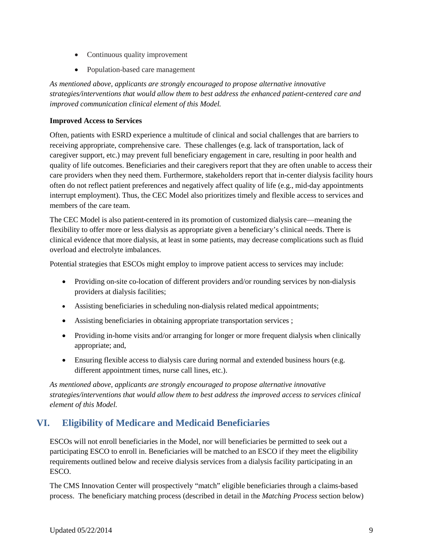- Continuous quality improvement
- Population-based care management

*As mentioned above, applicants are strongly encouraged to propose alternative innovative strategies/interventions that would allow them to best address the enhanced patient-centered care and improved communication clinical element of this Model.*

#### <span id="page-8-0"></span>**Improved Access to Services**

Often, patients with ESRD experience a multitude of clinical and social challenges that are barriers to receiving appropriate, comprehensive care. These challenges (e.g. lack of transportation, lack of caregiver support, etc.) may prevent full beneficiary engagement in care, resulting in poor health and quality of life outcomes. Beneficiaries and their caregivers report that they are often unable to access their care providers when they need them. Furthermore, stakeholders report that in-center dialysis facility hours often do not reflect patient preferences and negatively affect quality of life (e.g., mid-day appointments interrupt employment). Thus, the CEC Model also prioritizes timely and flexible access to services and members of the care team.

The CEC Model is also patient-centered in its promotion of customized dialysis care—meaning the flexibility to offer more or less dialysis as appropriate given a beneficiary's clinical needs. There is clinical evidence that more dialysis, at least in some patients, may decrease complications such as fluid overload and electrolyte imbalances.

Potential strategies that ESCOs might employ to improve patient access to services may include:

- Providing on-site co-location of different providers and/or rounding services by non-dialysis providers at dialysis facilities;
- Assisting beneficiaries in scheduling non-dialysis related medical appointments;
- Assisting beneficiaries in obtaining appropriate transportation services;
- Providing in-home visits and/or arranging for longer or more frequent dialysis when clinically appropriate; and,
- Ensuring flexible access to dialysis care during normal and extended business hours (e.g. different appointment times, nurse call lines, etc.).

*As mentioned above, applicants are strongly encouraged to propose alternative innovative strategies/interventions that would allow them to best address the improved access to services clinical element of this Model.*

# <span id="page-8-1"></span>**VI. Eligibility of Medicare and Medicaid Beneficiaries**

ESCOs will not enroll beneficiaries in the Model, nor will beneficiaries be permitted to seek out a participating ESCO to enroll in. Beneficiaries will be matched to an ESCO if they meet the eligibility requirements outlined below and receive dialysis services from a dialysis facility participating in an ESCO.

The CMS Innovation Center will prospectively "match" eligible beneficiaries through a claims-based process. The beneficiary matching process (described in detail in the *Matching Process* section below)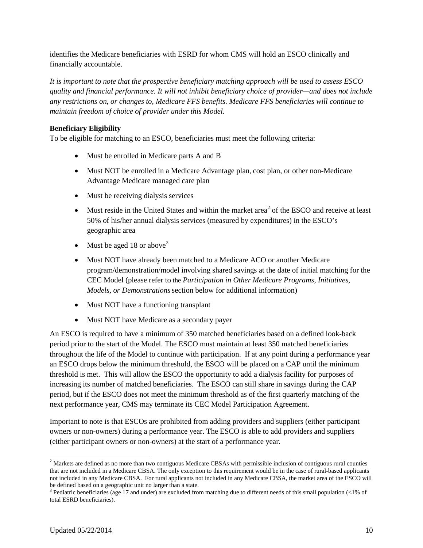identifies the Medicare beneficiaries with ESRD for whom CMS will hold an ESCO clinically and financially accountable.

*It is important to note that the prospective beneficiary matching approach will be used to assess ESCO quality and financial performance. It will not inhibit beneficiary choice of provider—and does not include any restrictions on, or changes to, Medicare FFS benefits. Medicare FFS beneficiaries will continue to maintain freedom of choice of provider under this Model.*

#### <span id="page-9-0"></span>**Beneficiary Eligibility**

To be eligible for matching to an ESCO, beneficiaries must meet the following criteria:

- Must be enrolled in Medicare parts A and B
- Must NOT be enrolled in a Medicare Advantage plan, cost plan, or other non-Medicare Advantage Medicare managed care plan
- Must be receiving dialysis services
- Must reside in the United States and within the market area<sup>[2](#page-9-1)</sup> of the ESCO and receive at least 50% of his/her annual dialysis services (measured by expenditures) in the ESCO's geographic area
- Must be aged 18 or above<sup>[3](#page-9-2)</sup>
- Must NOT have already been matched to a Medicare ACO or another Medicare program/demonstration/model involving shared savings at the date of initial matching for the CEC Model (please refer to the *Participation in Other Medicare Programs, Initiatives, Models, or Demonstrations*section below for additional information)
- Must NOT have a functioning transplant
- Must NOT have Medicare as a secondary payer

An ESCO is required to have a minimum of 350 matched beneficiaries based on a defined look-back period prior to the start of the Model. The ESCO must maintain at least 350 matched beneficiaries throughout the life of the Model to continue with participation. If at any point during a performance year an ESCO drops below the minimum threshold, the ESCO will be placed on a CAP until the minimum threshold is met. This will allow the ESCO the opportunity to add a dialysis facility for purposes of increasing its number of matched beneficiaries. The ESCO can still share in savings during the CAP period, but if the ESCO does not meet the minimum threshold as of the first quarterly matching of the next performance year, CMS may terminate its CEC Model Participation Agreement.

Important to note is that ESCOs are prohibited from adding providers and suppliers (either participant owners or non-owners) during a performance year. The ESCO is able to add providers and suppliers (either participant owners or non-owners) at the start of a performance year.

t

<span id="page-9-1"></span> $2^{2}$  Markets are defined as no more than two contiguous Medicare CBSAs with permissible inclusion of contiguous rural counties that are not included in a Medicare CBSA. The only exception to this requirement would be in the case of rural-based applicants not included in any Medicare CBSA. For rural applicants not included in any Medicare CBSA, the market area of the ESCO will be defined based on a geographic unit no larger than a state.

<span id="page-9-2"></span><sup>&</sup>lt;sup>3</sup> Pediatric beneficiaries (age 17 and under) are excluded from matching due to different needs of this small population  $\langle$ <1% of total ESRD beneficiaries).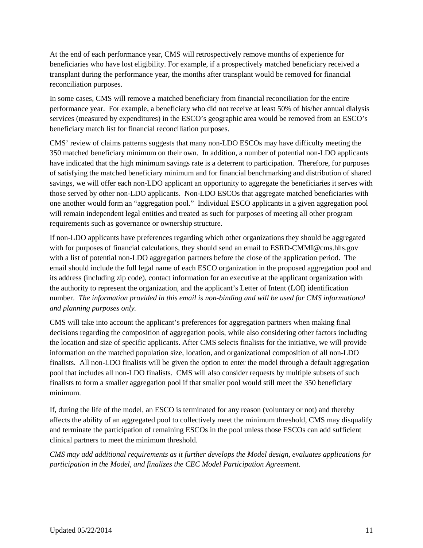At the end of each performance year, CMS will retrospectively remove months of experience for beneficiaries who have lost eligibility. For example, if a prospectively matched beneficiary received a transplant during the performance year, the months after transplant would be removed for financial reconciliation purposes.

In some cases, CMS will remove a matched beneficiary from financial reconciliation for the entire performance year. For example, a beneficiary who did not receive at least 50% of his/her annual dialysis services (measured by expenditures) in the ESCO's geographic area would be removed from an ESCO's beneficiary match list for financial reconciliation purposes.

CMS' review of claims patterns suggests that many non-LDO ESCOs may have difficulty meeting the 350 matched beneficiary minimum on their own. In addition, a number of potential non-LDO applicants have indicated that the high minimum savings rate is a deterrent to participation. Therefore, for purposes of satisfying the matched beneficiary minimum and for financial benchmarking and distribution of shared savings, we will offer each non-LDO applicant an opportunity to aggregate the beneficiaries it serves with those served by other non-LDO applicants. Non-LDO ESCOs that aggregate matched beneficiaries with one another would form an "aggregation pool." Individual ESCO applicants in a given aggregation pool will remain independent legal entities and treated as such for purposes of meeting all other program requirements such as governance or ownership structure.

If non-LDO applicants have preferences regarding which other organizations they should be aggregated with for purposes of financial calculations, they should send an email to ESRD-CMMI@cms.hhs.gov with a list of potential non-LDO aggregation partners before the close of the application period. The email should include the full legal name of each ESCO organization in the proposed aggregation pool and its address (including zip code), contact information for an executive at the applicant organization with the authority to represent the organization, and the applicant's Letter of Intent (LOI) identification number. *The information provided in this email is non-binding and will be used for CMS informational and planning purposes only.*

CMS will take into account the applicant's preferences for aggregation partners when making final decisions regarding the composition of aggregation pools, while also considering other factors including the location and size of specific applicants. After CMS selects finalists for the initiative, we will provide information on the matched population size, location, and organizational composition of all non-LDO finalists. All non-LDO finalists will be given the option to enter the model through a default aggregation pool that includes all non-LDO finalists. CMS will also consider requests by multiple subsets of such finalists to form a smaller aggregation pool if that smaller pool would still meet the 350 beneficiary minimum.

If, during the life of the model, an ESCO is terminated for any reason (voluntary or not) and thereby affects the ability of an aggregated pool to collectively meet the minimum threshold, CMS may disqualify and terminate the participation of remaining ESCOs in the pool unless those ESCOs can add sufficient clinical partners to meet the minimum threshold.

*CMS may add additional requirements as it further develops the Model design, evaluates applications for participation in the Model, and finalizes the CEC Model Participation Agreement.*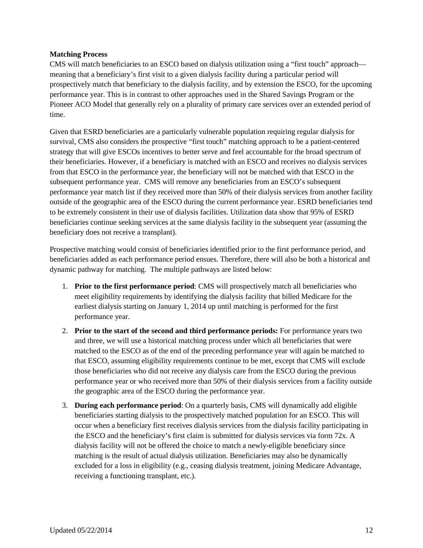#### <span id="page-11-0"></span>**Matching Process**

CMS will match beneficiaries to an ESCO based on dialysis utilization using a "first touch" approach meaning that a beneficiary's first visit to a given dialysis facility during a particular period will prospectively match that beneficiary to the dialysis facility, and by extension the ESCO, for the upcoming performance year. This is in contrast to other approaches used in the Shared Savings Program or the Pioneer ACO Model that generally rely on a plurality of primary care services over an extended period of time.

Given that ESRD beneficiaries are a particularly vulnerable population requiring regular dialysis for survival, CMS also considers the prospective "first touch" matching approach to be a patient-centered strategy that will give ESCOs incentives to better serve and feel accountable for the broad spectrum of their beneficiaries. However, if a beneficiary is matched with an ESCO and receives no dialysis services from that ESCO in the performance year, the beneficiary will not be matched with that ESCO in the subsequent performance year. CMS will remove any beneficiaries from an ESCO's subsequent performance year match list if they received more than 50% of their dialysis services from another facility outside of the geographic area of the ESCO during the current performance year. ESRD beneficiaries tend to be extremely consistent in their use of dialysis facilities. Utilization data show that 95% of ESRD beneficiaries continue seeking services at the same dialysis facility in the subsequent year (assuming the beneficiary does not receive a transplant).

Prospective matching would consist of beneficiaries identified prior to the first performance period, and beneficiaries added as each performance period ensues. Therefore, there will also be both a historical and dynamic pathway for matching. The multiple pathways are listed below:

- 1. **Prior to the first performance period**: CMS will prospectively match all beneficiaries who meet eligibility requirements by identifying the dialysis facility that billed Medicare for the earliest dialysis starting on January 1, 2014 up until matching is performed for the first performance year.
- 2. **Prior to the start of the second and third performance periods:** For performance years two and three, we will use a historical matching process under which all beneficiaries that were matched to the ESCO as of the end of the preceding performance year will again be matched to that ESCO, assuming eligibility requirements continue to be met, except that CMS will exclude those beneficiaries who did not receive any dialysis care from the ESCO during the previous performance year or who received more than 50% of their dialysis services from a facility outside the geographic area of the ESCO during the performance year.
- 3. **During each performance period**: On a quarterly basis, CMS will dynamically add eligible beneficiaries starting dialysis to the prospectively matched population for an ESCO. This will occur when a beneficiary first receives dialysis services from the dialysis facility participating in the ESCO and the beneficiary's first claim is submitted for dialysis services via form 72x. A dialysis facility will not be offered the choice to match a newly-eligible beneficiary since matching is the result of actual dialysis utilization. Beneficiaries may also be dynamically excluded for a loss in eligibility (e.g., ceasing dialysis treatment, joining Medicare Advantage, receiving a functioning transplant, etc.).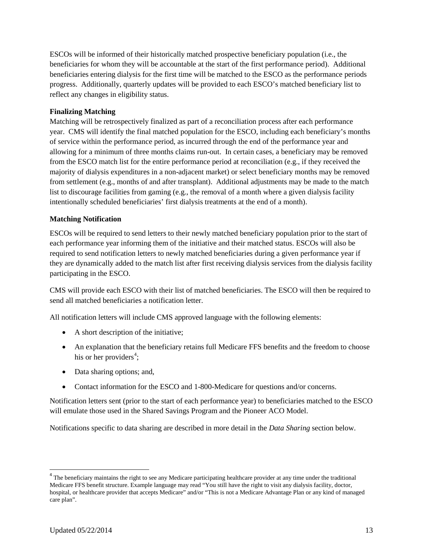ESCOs will be informed of their historically matched prospective beneficiary population (i.e., the beneficiaries for whom they will be accountable at the start of the first performance period). Additional beneficiaries entering dialysis for the first time will be matched to the ESCO as the performance periods progress. Additionally, quarterly updates will be provided to each ESCO's matched beneficiary list to reflect any changes in eligibility status.

#### <span id="page-12-0"></span>**Finalizing Matching**

Matching will be retrospectively finalized as part of a reconciliation process after each performance year. CMS will identify the final matched population for the ESCO, including each beneficiary's months of service within the performance period, as incurred through the end of the performance year and allowing for a minimum of three months claims run-out. In certain cases, a beneficiary may be removed from the ESCO match list for the entire performance period at reconciliation (e.g., if they received the majority of dialysis expenditures in a non-adjacent market) or select beneficiary months may be removed from settlement (e.g., months of and after transplant). Additional adjustments may be made to the match list to discourage facilities from gaming (e.g., the removal of a month where a given dialysis facility intentionally scheduled beneficiaries' first dialysis treatments at the end of a month).

#### <span id="page-12-1"></span>**Matching Notification**

ESCOs will be required to send letters to their newly matched beneficiary population prior to the start of each performance year informing them of the initiative and their matched status. ESCOs will also be required to send notification letters to newly matched beneficiaries during a given performance year if they are dynamically added to the match list after first receiving dialysis services from the dialysis facility participating in the ESCO.

CMS will provide each ESCO with their list of matched beneficiaries. The ESCO will then be required to send all matched beneficiaries a notification letter.

All notification letters will include CMS approved language with the following elements:

- A short description of the initiative;
- An explanation that the beneficiary retains full Medicare FFS benefits and the freedom to choose his or her providers<sup>[4](#page-12-2)</sup>;
- Data sharing options; and,
- Contact information for the ESCO and 1-800-Medicare for questions and/or concerns.

Notification letters sent (prior to the start of each performance year) to beneficiaries matched to the ESCO will emulate those used in the Shared Savings Program and the Pioneer ACO Model.

Notifications specific to data sharing are described in more detail in the *Data Sharing* section below.

i,

<span id="page-12-2"></span><sup>&</sup>lt;sup>4</sup> The beneficiary maintains the right to see any Medicare participating healthcare provider at any time under the traditional Medicare FFS benefit structure. Example language may read "You still have the right to visit any dialysis facility, doctor, hospital, or healthcare provider that accepts Medicare" and/or "This is not a Medicare Advantage Plan or any kind of managed care plan".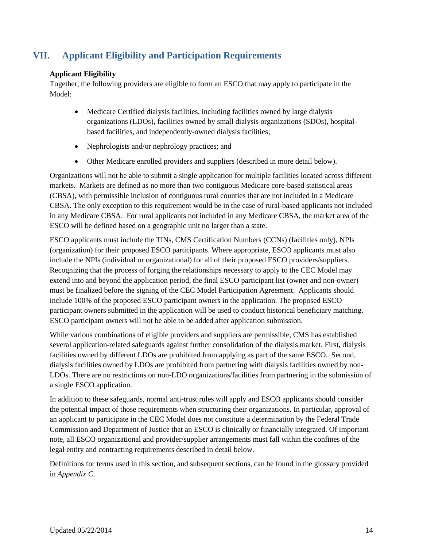# <span id="page-13-0"></span>**VII. Applicant Eligibility and Participation Requirements**

#### <span id="page-13-1"></span>**Applicant Eligibility**

Together, the following providers are eligible to form an ESCO that may apply to participate in the Model:

- Medicare Certified dialysis facilities, including facilities owned by large dialysis organizations (LDOs), facilities owned by small dialysis organizations (SDOs), hospitalbased facilities, and independently-owned dialysis facilities;
- Nephrologists and/or nephrology practices; and
- Other Medicare enrolled providers and suppliers (described in more detail below).

Organizations will not be able to submit a single application for multiple facilities located across different markets. Markets are defined as no more than two contiguous Medicare core-based statistical areas (CBSA), with permissible inclusion of contiguous rural counties that are not included in a Medicare CBSA. The only exception to this requirement would be in the case of rural-based applicants not included in any Medicare CBSA. For rural applicants not included in any Medicare CBSA, the market area of the ESCO will be defined based on a geographic unit no larger than a state.

ESCO applicants must include the TINs, CMS Certification Numbers (CCNs) (facilities only), NPIs (organization) for their proposed ESCO participants. Where appropriate, ESCO applicants must also include the NPIs (individual or organizational) for all of their proposed ESCO providers/suppliers. Recognizing that the process of forging the relationships necessary to apply to the CEC Model may extend into and beyond the application period, the final ESCO participant list (owner and non-owner) must be finalized before the signing of the CEC Model Participation Agreement. Applicants should include 100% of the proposed ESCO participant owners in the application. The proposed ESCO participant owners submitted in the application will be used to conduct historical beneficiary matching. ESCO participant owners will not be able to be added after application submission.

While various combinations of eligible providers and suppliers are permissible, CMS has established several application-related safeguards against further consolidation of the dialysis market. First, dialysis facilities owned by different LDOs are prohibited from applying as part of the same ESCO. Second, dialysis facilities owned by LDOs are prohibited from partnering with dialysis facilities owned by non-LDOs. There are no restrictions on non-LDO organizations/facilities from partnering in the submission of a single ESCO application.

In addition to these safeguards, normal anti-trust rules will apply and ESCO applicants should consider the potential impact of those requirements when structuring their organizations. In particular, approval of an applicant to participate in the CEC Model does not constitute a determination by the Federal Trade Commission and Department of Justice that an ESCO is clinically or financially integrated. Of important note, all ESCO organizational and provider/supplier arrangements must fall within the confines of the legal entity and contracting requirements described in detail below.

Definitions for terms used in this section, and subsequent sections, can be found in the glossary provided in *Appendix C*.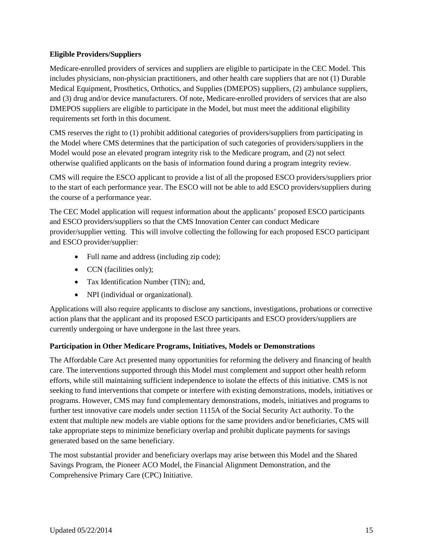#### <span id="page-14-0"></span>**Eligible Providers/Suppliers**

Medicare-enrolled providers of services and suppliers are eligible to participate in the CEC Model. This includes physicians, non-physician practitioners, and other health care suppliers that are not (1) Durable Medical Equipment, Prosthetics, Orthotics, and Supplies (DMEPOS) suppliers, (2) ambulance suppliers, and (3) drug and/or device manufacturers. Of note, Medicare-enrolled providers of services that are also DMEPOS suppliers are eligible to participate in the Model, but must meet the additional eligibility requirements set forth in this document.

CMS reserves the right to (1) prohibit additional categories of providers/suppliers from participating in the Model where CMS determines that the participation of such categories of providers/suppliers in the Model would pose an elevated program integrity risk to the Medicare program, and (2) not select otherwise qualified applicants on the basis of information found during a program integrity review.

CMS will require the ESCO applicant to provide a list of all the proposed ESCO providers/suppliers prior to the start of each performance year. The ESCO will not be able to add ESCO providers/suppliers during the course of a performance year.

The CEC Model application will request information about the applicants' proposed ESCO participants and ESCO providers/suppliers so that the CMS Innovation Center can conduct Medicare provider/supplier vetting. This will involve collecting the following for each proposed ESCO participant and ESCO provider/supplier:

- Full name and address (including zip code);
- CCN (facilities only);
- Tax Identification Number (TIN); and,
- NPI (individual or organizational).

Applications will also require applicants to disclose any sanctions, investigations, probations or corrective action plans that the applicant and its proposed ESCO participants and ESCO providers/suppliers are currently undergoing or have undergone in the last three years.

#### <span id="page-14-1"></span>**Participation in Other Medicare Programs, Initiatives, Models or Demonstrations**

The Affordable Care Act presented many opportunities for reforming the delivery and financing of health care. The interventions supported through this Model must complement and support other health reform efforts, while still maintaining sufficient independence to isolate the effects of this initiative. CMS is not seeking to fund interventions that compete or interfere with existing demonstrations, models, initiatives or programs. However, CMS may fund complementary demonstrations, models, initiatives and programs to further test innovative care models under section 1115A of the Social Security Act authority. To the extent that multiple new models are viable options for the same providers and/or beneficiaries, CMS will take appropriate steps to minimize beneficiary overlap and prohibit duplicate payments for savings generated based on the same beneficiary.

The most substantial provider and beneficiary overlaps may arise between this Model and the Shared Savings Program, the Pioneer ACO Model, the Financial Alignment Demonstration, and the Comprehensive Primary Care (CPC) Initiative.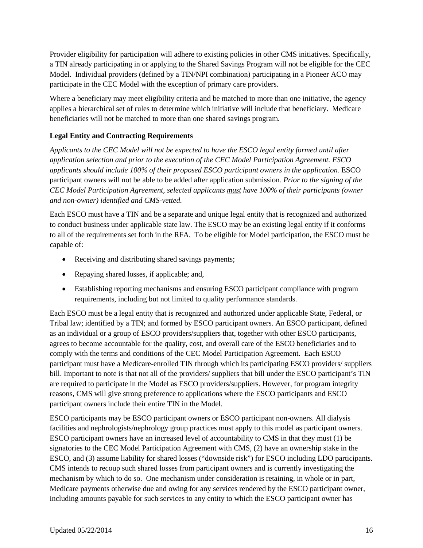Provider eligibility for participation will adhere to existing policies in other CMS initiatives. Specifically, a TIN already participating in or applying to the Shared Savings Program will not be eligible for the CEC Model. Individual providers (defined by a TIN/NPI combination) participating in a Pioneer ACO may participate in the CEC Model with the exception of primary care providers.

Where a beneficiary may meet eligibility criteria and be matched to more than one initiative, the agency applies a hierarchical set of rules to determine which initiative will include that beneficiary. Medicare beneficiaries will not be matched to more than one shared savings program.

#### <span id="page-15-0"></span>**Legal Entity and Contracting Requirements**

*Applicants to the CEC Model will not be expected to have the ESCO legal entity formed until after application selection and prior to the execution of the CEC Model Participation Agreement. ESCO applicants should include 100% of their proposed ESCO participant owners in the application.* ESCO participant owners will not be able to be added after application submission*. Prior to the signing of the CEC Model Participation Agreement, selected applicants must have 100% of their participants (owner and non-owner) identified and CMS-vetted.*

Each ESCO must have a TIN and be a separate and unique legal entity that is recognized and authorized to conduct business under applicable state law. The ESCO may be an existing legal entity if it conforms to all of the requirements set forth in the RFA. To be eligible for Model participation, the ESCO must be capable of:

- Receiving and distributing shared savings payments;
- Repaying shared losses, if applicable; and,
- Establishing reporting mechanisms and ensuring ESCO participant compliance with program requirements, including but not limited to quality performance standards.

Each ESCO must be a legal entity that is recognized and authorized under applicable State, Federal, or Tribal law; identified by a TIN; and formed by ESCO participant owners. An ESCO participant, defined as an individual or a group of ESCO providers/suppliers that, together with other ESCO participants, agrees to become accountable for the quality, cost, and overall care of the ESCO beneficiaries and to comply with the terms and conditions of the CEC Model Participation Agreement. Each ESCO participant must have a Medicare-enrolled TIN through which its participating ESCO providers/ suppliers bill. Important to note is that not all of the providers/ suppliers that bill under the ESCO participant's TIN are required to participate in the Model as ESCO providers/suppliers. However, for program integrity reasons, CMS will give strong preference to applications where the ESCO participants and ESCO participant owners include their entire TIN in the Model.

ESCO participants may be ESCO participant owners or ESCO participant non-owners. All dialysis facilities and nephrologists/nephrology group practices must apply to this model as participant owners. ESCO participant owners have an increased level of accountability to CMS in that they must (1) be signatories to the CEC Model Participation Agreement with CMS, (2) have an ownership stake in the ESCO, and (3) assume liability for shared losses ("downside risk") for ESCO including LDO participants. CMS intends to recoup such shared losses from participant owners and is currently investigating the mechanism by which to do so. One mechanism under consideration is retaining, in whole or in part, Medicare payments otherwise due and owing for any services rendered by the ESCO participant owner, including amounts payable for such services to any entity to which the ESCO participant owner has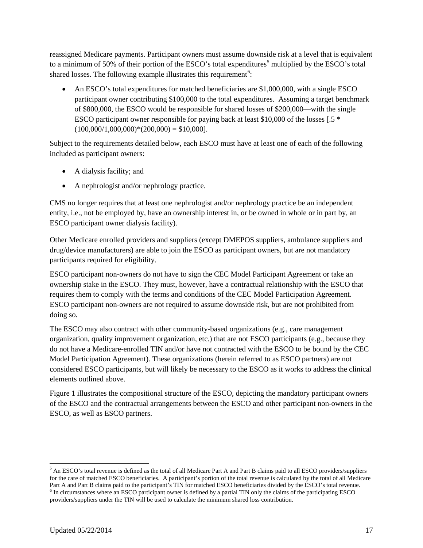reassigned Medicare payments. Participant owners must assume downside risk at a level that is equivalent to a minimum of [5](#page-16-0)0% of their portion of the ESCO's total expenditures<sup>5</sup> multiplied by the ESCO's total shared losses. The following example illustrates this requirement<sup>[6](#page-16-1)</sup>:

• An ESCO's total expenditures for matched beneficiaries are \$1,000,000, with a single ESCO participant owner contributing \$100,000 to the total expenditures. Assuming a target benchmark of \$800,000, the ESCO would be responsible for shared losses of \$200,000—with the single ESCO participant owner responsible for paying back at least \$10,000 of the losses [.5  $*$  $(100,000/1,000,000)*(200,000) = $10,000].$ 

Subject to the requirements detailed below, each ESCO must have at least one of each of the following included as participant owners:

- A dialysis facility; and
- A nephrologist and/or nephrology practice.

CMS no longer requires that at least one nephrologist and/or nephrology practice be an independent entity, i.e., not be employed by, have an ownership interest in, or be owned in whole or in part by, an ESCO participant owner dialysis facility).

Other Medicare enrolled providers and suppliers (except DMEPOS suppliers, ambulance suppliers and drug/device manufacturers) are able to join the ESCO as participant owners, but are not mandatory participants required for eligibility.

ESCO participant non-owners do not have to sign the CEC Model Participant Agreement or take an ownership stake in the ESCO. They must, however, have a contractual relationship with the ESCO that requires them to comply with the terms and conditions of the CEC Model Participation Agreement. ESCO participant non-owners are not required to assume downside risk, but are not prohibited from doing so.

The ESCO may also contract with other community-based organizations (e.g., care management organization, quality improvement organization, etc.) that are not ESCO participants (e.g., because they do not have a Medicare-enrolled TIN and/or have not contracted with the ESCO to be bound by the CEC Model Participation Agreement). These organizations (herein referred to as ESCO partners) are not considered ESCO participants, but will likely be necessary to the ESCO as it works to address the clinical elements outlined above.

Figure 1 illustrates the compositional structure of the ESCO, depicting the mandatory participant owners of the ESCO and the contractual arrangements between the ESCO and other participant non-owners in the ESCO, as well as ESCO partners.

l

<span id="page-16-1"></span><span id="page-16-0"></span><sup>&</sup>lt;sup>5</sup> An ESCO's total revenue is defined as the total of all Medicare Part A and Part B claims paid to all ESCO providers/suppliers for the care of matched ESCO beneficiaries. A participant's portion of the total revenue is calculated by the total of all Medicare Part A and Part B claims paid to the participant's TIN for matched ESCO beneficiaries divided by the ESCO's total revenue. <sup>6</sup> In circumstances where an ESCO participant owner is defined by a partial TIN only the claims of the participating ESCO providers/suppliers under the TIN will be used to calculate the minimum shared loss contribution.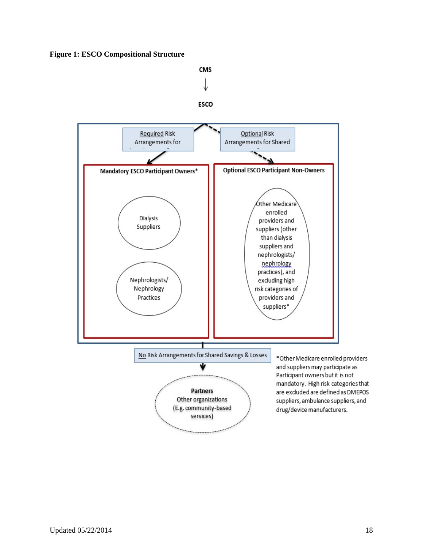**Figure 1: ESCO Compositional Structure**

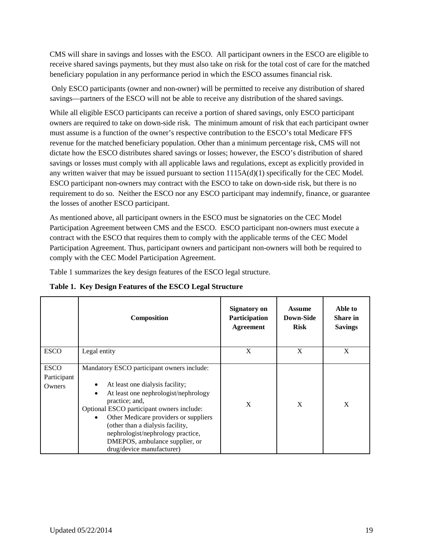CMS will share in savings and losses with the ESCO. All participant owners in the ESCO are eligible to receive shared savings payments, but they must also take on risk for the total cost of care for the matched beneficiary population in any performance period in which the ESCO assumes financial risk.

 Only ESCO participants (owner and non-owner) will be permitted to receive any distribution of shared savings—partners of the ESCO will not be able to receive any distribution of the shared savings.

While all eligible ESCO participants can receive a portion of shared savings, only ESCO participant owners are required to take on down-side risk. The minimum amount of risk that each participant owner must assume is a function of the owner's respective contribution to the ESCO's total Medicare FFS revenue for the matched beneficiary population. Other than a minimum percentage risk, CMS will not dictate how the ESCO distributes shared savings or losses; however, the ESCO's distribution of shared savings or losses must comply with all applicable laws and regulations, except as explicitly provided in any written waiver that may be issued pursuant to section 1115A(d)(1) specifically for the CEC Model*.*  ESCO participant non-owners may contract with the ESCO to take on down-side risk, but there is no requirement to do so. Neither the ESCO nor any ESCO participant may indemnify, finance, or guarantee the losses of another ESCO participant.

As mentioned above, all participant owners in the ESCO must be signatories on the CEC Model Participation Agreement between CMS and the ESCO. ESCO participant non-owners must execute a contract with the ESCO that requires them to comply with the applicable terms of the CEC Model Participation Agreement. Thus, participant owners and participant non-owners will both be required to comply with the CEC Model Participation Agreement.

Table 1 summarizes the key design features of the ESCO legal structure.

|                                      | Composition                                                                                                                                                                                                                                                                                                                                                                                                  | <b>Signatory on</b><br>Participation<br><b>Agreement</b> | <b>Assume</b><br>Down-Side<br><b>Risk</b> | Able to<br><b>Share in</b><br><b>Savings</b> |
|--------------------------------------|--------------------------------------------------------------------------------------------------------------------------------------------------------------------------------------------------------------------------------------------------------------------------------------------------------------------------------------------------------------------------------------------------------------|----------------------------------------------------------|-------------------------------------------|----------------------------------------------|
| <b>ESCO</b>                          | Legal entity                                                                                                                                                                                                                                                                                                                                                                                                 | X                                                        | X                                         | X                                            |
| <b>ESCO</b><br>Participant<br>Owners | Mandatory ESCO participant owners include:<br>At least one dialysis facility;<br>$\bullet$<br>At least one nephrologist/nephrology<br>$\bullet$<br>practice; and,<br>Optional ESCO participant owners include:<br>Other Medicare providers or suppliers<br>$\bullet$<br>(other than a dialysis facility,<br>nephrologist/nephrology practice,<br>DMEPOS, ambulance supplier, or<br>drug/device manufacturer) | X                                                        | X                                         | X                                            |

**Table 1. Key Design Features of the ESCO Legal Structure**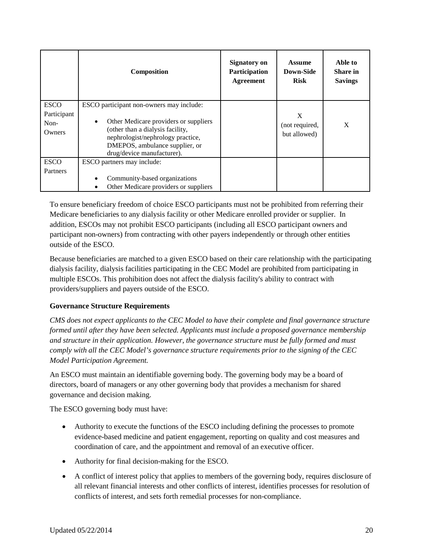|                                    | <b>Composition</b>                                                                                                                    | <b>Signatory on</b><br>Participation<br>Agreement | <b>Assume</b><br>Down-Side<br><b>Risk</b> | Able to<br>Share in<br><b>Savings</b> |
|------------------------------------|---------------------------------------------------------------------------------------------------------------------------------------|---------------------------------------------------|-------------------------------------------|---------------------------------------|
| <b>ESCO</b><br>Participant<br>Non- | ESCO participant non-owners may include:<br>Other Medicare providers or suppliers<br>$\bullet$                                        |                                                   | X                                         |                                       |
| Owners                             | (other than a dialysis facility,<br>nephrologist/nephrology practice,<br>DMEPOS, ambulance supplier, or<br>drug/device manufacturer). |                                                   | (not required,<br>but allowed)            | X                                     |
| <b>ESCO</b>                        | ESCO partners may include:                                                                                                            |                                                   |                                           |                                       |
| Partners                           |                                                                                                                                       |                                                   |                                           |                                       |
|                                    | Community-based organizations<br>$\bullet$                                                                                            |                                                   |                                           |                                       |
|                                    | Other Medicare providers or suppliers                                                                                                 |                                                   |                                           |                                       |

To ensure beneficiary freedom of choice ESCO participants must not be prohibited from referring their Medicare beneficiaries to any dialysis facility or other Medicare enrolled provider or supplier. In addition, ESCOs may not prohibit ESCO participants (including all ESCO participant owners and participant non-owners) from contracting with other payers independently or through other entities outside of the ESCO.

Because beneficiaries are matched to a given ESCO based on their care relationship with the participating dialysis facility, dialysis facilities participating in the CEC Model are prohibited from participating in multiple ESCOs. This prohibition does not affect the dialysis facility's ability to contract with providers/suppliers and payers outside of the ESCO.

#### <span id="page-19-0"></span>**Governance Structure Requirements**

*CMS does not expect applicants to the CEC Model to have their complete and final governance structure formed until after they have been selected. Applicants must include a proposed governance membership and structure in their application. However, the governance structure must be fully formed and must comply with all the CEC Model's governance structure requirements prior to the signing of the CEC Model Participation Agreement.* 

An ESCO must maintain an identifiable governing body. The governing body may be a board of directors, board of managers or any other governing body that provides a mechanism for shared governance and decision making.

The ESCO governing body must have:

- Authority to execute the functions of the ESCO including defining the processes to promote evidence-based medicine and patient engagement, reporting on quality and cost measures and coordination of care, and the appointment and removal of an executive officer.
- Authority for final decision-making for the ESCO.
- A conflict of interest policy that applies to members of the governing body, requires disclosure of all relevant financial interests and other conflicts of interest, identifies processes for resolution of conflicts of interest, and sets forth remedial processes for non-compliance.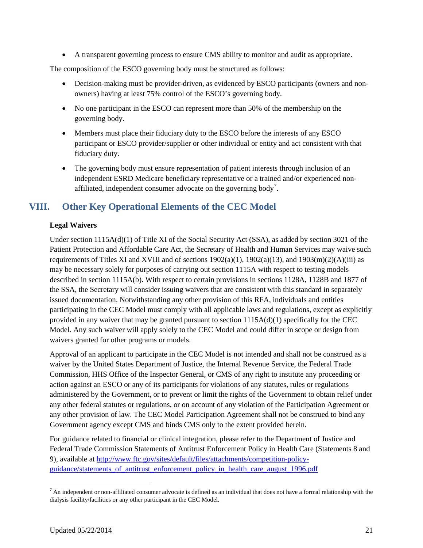• A transparent governing process to ensure CMS ability to monitor and audit as appropriate.

The composition of the ESCO governing body must be structured as follows:

- Decision-making must be provider-driven, as evidenced by ESCO participants (owners and nonowners) having at least 75% control of the ESCO's governing body.
- No one participant in the ESCO can represent more than 50% of the membership on the governing body.
- Members must place their fiduciary duty to the ESCO before the interests of any ESCO participant or ESCO provider/supplier or other individual or entity and act consistent with that fiduciary duty.
- The governing body must ensure representation of patient interests through inclusion of an independent ESRD Medicare beneficiary representative or a trained and/or experienced non-affiliated, independent consumer advocate on the governing body<sup>[7](#page-20-2)</sup>.

# <span id="page-20-0"></span>**VIII. Other Key Operational Elements of the CEC Model**

#### <span id="page-20-1"></span>**Legal Waivers**

Under section 1115A(d)(1) of Title XI of the Social Security Act (SSA), as added by section 3021 of the Patient Protection and Affordable Care Act, the Secretary of Health and Human Services may waive such requirements of Titles XI and XVIII and of sections  $1902(a)(1)$ ,  $1902(a)(13)$ , and  $1903(m)(2)(A)(iii)$  as may be necessary solely for purposes of carrying out section 1115A with respect to testing models described in section 1115A(b). With respect to certain provisions in sections 1128A, 1128B and 1877 of the SSA, the Secretary will consider issuing waivers that are consistent with this standard in separately issued documentation. Notwithstanding any other provision of this RFA, individuals and entities participating in the CEC Model must comply with all applicable laws and regulations, except as explicitly provided in any waiver that may be granted pursuant to section 1115A(d)(1) specifically for the CEC Model. Any such waiver will apply solely to the CEC Model and could differ in scope or design from waivers granted for other programs or models.

Approval of an applicant to participate in the CEC Model is not intended and shall not be construed as a waiver by the United States Department of Justice, the Internal Revenue Service, the Federal Trade Commission, HHS Office of the Inspector General, or CMS of any right to institute any proceeding or action against an ESCO or any of its participants for violations of any statutes, rules or regulations administered by the Government, or to prevent or limit the rights of the Government to obtain relief under any other federal statutes or regulations, or on account of any violation of the Participation Agreement or any other provision of law. The CEC Model Participation Agreement shall not be construed to bind any Government agency except CMS and binds CMS only to the extent provided herein.

For guidance related to financial or clinical integration, please refer to the Department of Justice and Federal Trade Commission Statements of Antitrust Enforcement Policy in Health Care (Statements 8 and 9), available at [http://www.ftc.gov/sites/default/files/attachments/competition-policy](http://www.ftc.gov/sites/default/files/attachments/competition-policy-guidance/statements_of_antitrust_enforcement_policy_in_health_care_august_1996.pdf)[guidance/statements\\_of\\_antitrust\\_enforcement\\_policy\\_in\\_health\\_care\\_august\\_1996.pdf](http://www.ftc.gov/sites/default/files/attachments/competition-policy-guidance/statements_of_antitrust_enforcement_policy_in_health_care_august_1996.pdf)

<span id="page-20-2"></span>l  $<sup>7</sup>$  An independent or non-affiliated consumer advocate is defined as an individual that does not have a formal relationship with the</sup> dialysis facility/facilities or any other participant in the CEC Model.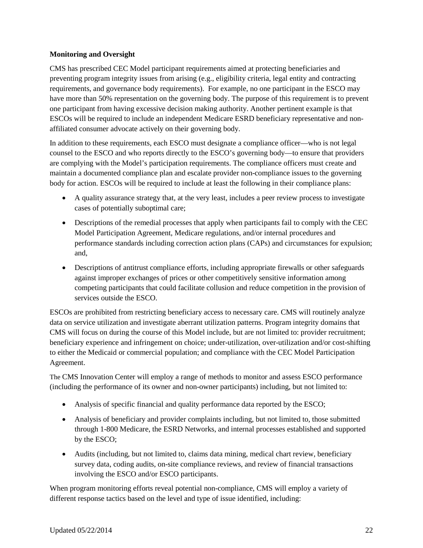#### <span id="page-21-0"></span>**Monitoring and Oversight**

CMS has prescribed CEC Model participant requirements aimed at protecting beneficiaries and preventing program integrity issues from arising (e.g., eligibility criteria, legal entity and contracting requirements, and governance body requirements). For example, no one participant in the ESCO may have more than 50% representation on the governing body. The purpose of this requirement is to prevent one participant from having excessive decision making authority. Another pertinent example is that ESCOs will be required to include an independent Medicare ESRD beneficiary representative and nonaffiliated consumer advocate actively on their governing body.

In addition to these requirements, each ESCO must designate a compliance officer—who is not legal counsel to the ESCO and who reports directly to the ESCO's governing body—to ensure that providers are complying with the Model's participation requirements. The compliance officers must create and maintain a documented compliance plan and escalate provider non-compliance issues to the governing body for action. ESCOs will be required to include at least the following in their compliance plans:

- A quality assurance strategy that, at the very least, includes a peer review process to investigate cases of potentially suboptimal care;
- Descriptions of the remedial processes that apply when participants fail to comply with the CEC Model Participation Agreement, Medicare regulations, and/or internal procedures and performance standards including correction action plans (CAPs) and circumstances for expulsion; and,
- Descriptions of antitrust compliance efforts, including appropriate firewalls or other safeguards against improper exchanges of prices or other competitively sensitive information among competing participants that could facilitate collusion and reduce competition in the provision of services outside the ESCO.

ESCOs are prohibited from restricting beneficiary access to necessary care. CMS will routinely analyze data on service utilization and investigate aberrant utilization patterns. Program integrity domains that CMS will focus on during the course of this Model include, but are not limited to: provider recruitment; beneficiary experience and infringement on choice; under-utilization, over-utilization and/or cost-shifting to either the Medicaid or commercial population; and compliance with the CEC Model Participation Agreement.

The CMS Innovation Center will employ a range of methods to monitor and assess ESCO performance (including the performance of its owner and non-owner participants) including, but not limited to:

- Analysis of specific financial and quality performance data reported by the ESCO;
- Analysis of beneficiary and provider complaints including, but not limited to, those submitted through 1-800 Medicare, the ESRD Networks, and internal processes established and supported by the ESCO;
- Audits (including, but not limited to, claims data mining, medical chart review, beneficiary survey data, coding audits, on-site compliance reviews, and review of financial transactions involving the ESCO and/or ESCO participants.

When program monitoring efforts reveal potential non-compliance, CMS will employ a variety of different response tactics based on the level and type of issue identified, including: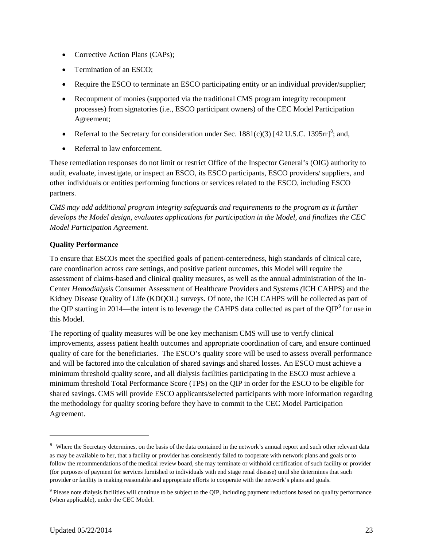- Corrective Action Plans (CAPs);
- Termination of an ESCO;
- Require the ESCO to terminate an ESCO participating entity or an individual provider/supplier;
- Recoupment of monies (supported via the traditional CMS program integrity recoupment processes) from signatories (i.e., ESCO participant owners) of the CEC Model Participation Agreement;
- Referral to the Secretary for consideration under Sec.  $1881(c)(3)$  $1881(c)(3)$  $1881(c)(3)$  [42 U.S.C. 1395rr]<sup>8</sup>; and,
- Referral to law enforcement.

These remediation responses do not limit or restrict Office of the Inspector General's (OIG) authority to audit, evaluate, investigate, or inspect an ESCO, its ESCO participants, ESCO providers/ suppliers, and other individuals or entities performing functions or services related to the ESCO, including ESCO partners.

*CMS may add additional program integrity safeguards and requirements to the program as it further develops the Model design, evaluates applications for participation in the Model, and finalizes the CEC Model Participation Agreement.* 

#### <span id="page-22-0"></span>**Quality Performance**

To ensure that ESCOs meet the specified goals of patient-centeredness, high standards of clinical care, care coordination across care settings, and positive patient outcomes, this Model will require the assessment of claims-based and clinical quality measures, as well as the annual administration of the In-Center *Hemodialysis* Consumer Assessment of Healthcare Providers and Systems *(*ICH CAHPS) and the Kidney Disease Quality of Life (KDQOL) surveys. Of note, the ICH CAHPS will be collected as part of the QIP starting in 2014—the intent is to leverage the CAHPS data collected as part of the  $QIP<sup>9</sup>$  $QIP<sup>9</sup>$  $QIP<sup>9</sup>$  for use in this Model.

The reporting of quality measures will be one key mechanism CMS will use to verify clinical improvements, assess patient health outcomes and appropriate coordination of care, and ensure continued quality of care for the beneficiaries. The ESCO's quality score will be used to assess overall performance and will be factored into the calculation of shared savings and shared losses. An ESCO must achieve a minimum threshold quality score, and all dialysis facilities participating in the ESCO must achieve a minimum threshold Total Performance Score (TPS) on the QIP in order for the ESCO to be eligible for shared savings. CMS will provide ESCO applicants/selected participants with more information regarding the methodology for quality scoring before they have to commit to the CEC Model Participation Agreement.

l

<span id="page-22-1"></span><sup>&</sup>lt;sup>8</sup> Where the Secretary determines, on the basis of the data contained in the network's annual report and such other relevant data as may be available to her, that a facility or provider has consistently failed to cooperate with network plans and goals or to follow the recommendations of the medical review board, she may terminate or withhold certification of such facility or provider (for purposes of payment for services furnished to individuals with end stage renal disease) until she determines that such provider or facility is making reasonable and appropriate efforts to cooperate with the network's plans and goals.

<span id="page-22-2"></span> $9$  Please note dialysis facilities will continue to be subject to the QIP, including payment reductions based on quality performance (when applicable), under the CEC Model.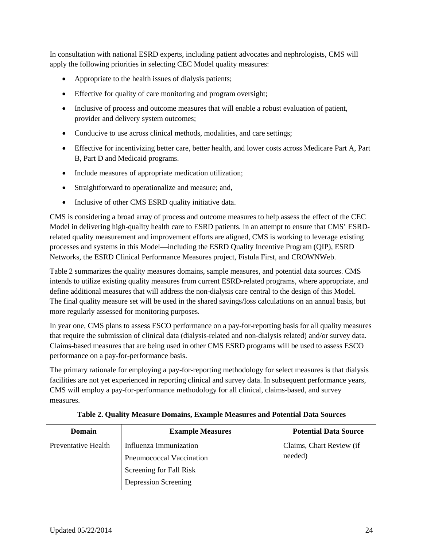In consultation with national ESRD experts, including patient advocates and nephrologists, CMS will apply the following priorities in selecting CEC Model quality measures:

- Appropriate to the health issues of dialysis patients;
- Effective for quality of care monitoring and program oversight;
- Inclusive of process and outcome measures that will enable a robust evaluation of patient, provider and delivery system outcomes;
- Conducive to use across clinical methods, modalities, and care settings;
- Effective for incentivizing better care, better health, and lower costs across Medicare Part A, Part B, Part D and Medicaid programs.
- Include measures of appropriate medication utilization;
- Straightforward to operationalize and measure; and,
- Inclusive of other CMS ESRD quality initiative data.

CMS is considering a broad array of process and outcome measures to help assess the effect of the CEC Model in delivering high-quality health care to ESRD patients. In an attempt to ensure that CMS' ESRDrelated quality measurement and improvement efforts are aligned, CMS is working to leverage existing processes and systems in this Model—including the ESRD Quality Incentive Program (QIP), ESRD Networks, the ESRD Clinical Performance Measures project, Fistula First, and CROWNWeb.

Table 2 summarizes the quality measures domains, sample measures, and potential data sources. CMS intends to utilize existing quality measures from current ESRD-related programs, where appropriate, and define additional measures that will address the non-dialysis care central to the design of this Model. The final quality measure set will be used in the shared savings/loss calculations on an annual basis, but more regularly assessed for monitoring purposes.

In year one, CMS plans to assess ESCO performance on a pay-for-reporting basis for all quality measures that require the submission of clinical data (dialysis-related and non-dialysis related) and/or survey data. Claims-based measures that are being used in other CMS ESRD programs will be used to assess ESCO performance on a pay-for-performance basis.

The primary rationale for employing a pay-for-reporting methodology for select measures is that dialysis facilities are not yet experienced in reporting clinical and survey data. In subsequent performance years, CMS will employ a pay-for-performance methodology for all clinical, claims-based, and survey measures.

| <b>Domain</b>       | <b>Example Measures</b>     | <b>Potential Data Source</b> |
|---------------------|-----------------------------|------------------------------|
| Preventative Health | Influenza Immunization      | Claims, Chart Review (if     |
|                     | Pneumococcal Vaccination    | needed)                      |
|                     | Screening for Fall Risk     |                              |
|                     | <b>Depression Screening</b> |                              |

**Table 2. Quality Measure Domains, Example Measures and Potential Data Sources**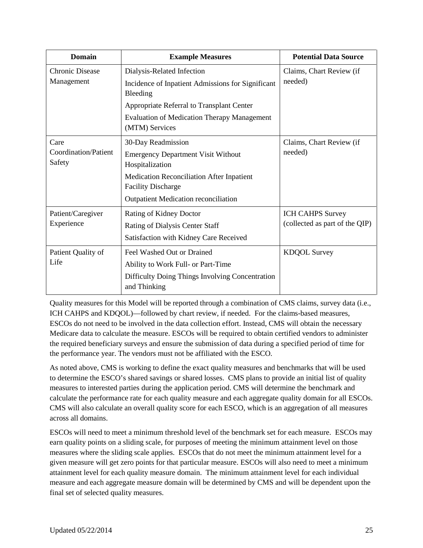| <b>Domain</b>                  | <b>Example Measures</b>                                                       | <b>Potential Data Source</b>   |
|--------------------------------|-------------------------------------------------------------------------------|--------------------------------|
| <b>Chronic Disease</b>         | Dialysis-Related Infection                                                    | Claims, Chart Review (if       |
| Management                     | Incidence of Inpatient Admissions for Significant<br>Bleeding                 | needed)                        |
|                                | Appropriate Referral to Transplant Center                                     |                                |
|                                | <b>Evaluation of Medication Therapy Management</b><br>(MTM) Services          |                                |
| Care                           | 30-Day Readmission                                                            | Claims, Chart Review (if       |
| Coordination/Patient<br>Safety | <b>Emergency Department Visit Without</b><br>Hospitalization                  | needed)                        |
|                                | <b>Medication Reconciliation After Inpatient</b><br><b>Facility Discharge</b> |                                |
|                                | <b>Outpatient Medication reconciliation</b>                                   |                                |
| Patient/Caregiver              | Rating of Kidney Doctor                                                       | <b>ICH CAHPS Survey</b>        |
| Experience                     | Rating of Dialysis Center Staff                                               | (collected as part of the QIP) |
|                                | Satisfaction with Kidney Care Received                                        |                                |
| Patient Quality of             | Feel Washed Out or Drained                                                    | <b>KDQOL</b> Survey            |
| Life                           | Ability to Work Full- or Part-Time                                            |                                |
|                                | Difficulty Doing Things Involving Concentration<br>and Thinking               |                                |

Quality measures for this Model will be reported through a combination of CMS claims, survey data (i.e., ICH CAHPS and KDQOL)—followed by chart review, if needed. For the claims-based measures, ESCOs do not need to be involved in the data collection effort. Instead, CMS will obtain the necessary Medicare data to calculate the measure. ESCOs will be required to obtain certified vendors to administer the required beneficiary surveys and ensure the submission of data during a specified period of time for the performance year. The vendors must not be affiliated with the ESCO.

As noted above, CMS is working to define the exact quality measures and benchmarks that will be used to determine the ESCO's shared savings or shared losses. CMS plans to provide an initial list of quality measures to interested parties during the application period. CMS will determine the benchmark and calculate the performance rate for each quality measure and each aggregate quality domain for all ESCOs. CMS will also calculate an overall quality score for each ESCO, which is an aggregation of all measures across all domains.

ESCOs will need to meet a minimum threshold level of the benchmark set for each measure. ESCOs may earn quality points on a sliding scale, for purposes of meeting the minimum attainment level on those measures where the sliding scale applies. ESCOs that do not meet the minimum attainment level for a given measure will get zero points for that particular measure. ESCOs will also need to meet a minimum attainment level for each quality measure domain. The minimum attainment level for each individual measure and each aggregate measure domain will be determined by CMS and will be dependent upon the final set of selected quality measures.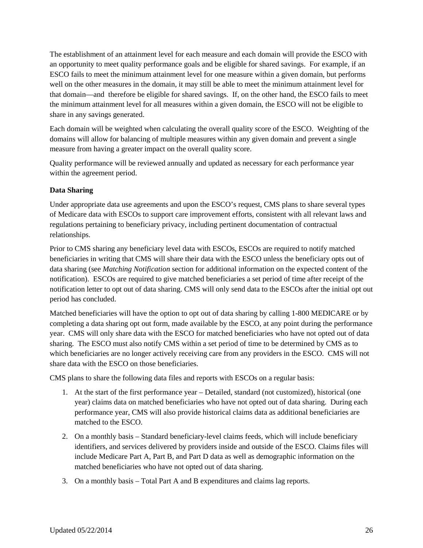The establishment of an attainment level for each measure and each domain will provide the ESCO with an opportunity to meet quality performance goals and be eligible for shared savings. For example, if an ESCO fails to meet the minimum attainment level for one measure within a given domain, but performs well on the other measures in the domain, it may still be able to meet the minimum attainment level for that domain—and therefore be eligible for shared savings. If, on the other hand, the ESCO fails to meet the minimum attainment level for all measures within a given domain, the ESCO will not be eligible to share in any savings generated.

Each domain will be weighted when calculating the overall quality score of the ESCO. Weighting of the domains will allow for balancing of multiple measures within any given domain and prevent a single measure from having a greater impact on the overall quality score.

Quality performance will be reviewed annually and updated as necessary for each performance year within the agreement period.

#### <span id="page-25-0"></span>**Data Sharing**

Under appropriate data use agreements and upon the ESCO's request, CMS plans to share several types of Medicare data with ESCOs to support care improvement efforts, consistent with all relevant laws and regulations pertaining to beneficiary privacy, including pertinent documentation of contractual relationships.

Prior to CMS sharing any beneficiary level data with ESCOs, ESCOs are required to notify matched beneficiaries in writing that CMS will share their data with the ESCO unless the beneficiary opts out of data sharing (see *Matching Notification* section for additional information on the expected content of the notification). ESCOs are required to give matched beneficiaries a set period of time after receipt of the notification letter to opt out of data sharing. CMS will only send data to the ESCOs after the initial opt out period has concluded.

Matched beneficiaries will have the option to opt out of data sharing by calling 1-800 MEDICARE or by completing a data sharing opt out form, made available by the ESCO, at any point during the performance year. CMS will only share data with the ESCO for matched beneficiaries who have not opted out of data sharing. The ESCO must also notify CMS within a set period of time to be determined by CMS as to which beneficiaries are no longer actively receiving care from any providers in the ESCO. CMS will not share data with the ESCO on those beneficiaries.

CMS plans to share the following data files and reports with ESCOs on a regular basis:

- 1. At the start of the first performance year Detailed, standard (not customized), historical (one year) claims data on matched beneficiaries who have not opted out of data sharing. During each performance year, CMS will also provide historical claims data as additional beneficiaries are matched to the ESCO.
- 2. On a monthly basis Standard beneficiary-level claims feeds, which will include beneficiary identifiers, and services delivered by providers inside and outside of the ESCO. Claims files will include Medicare Part A, Part B, and Part D data as well as demographic information on the matched beneficiaries who have not opted out of data sharing.
- 3. On a monthly basis Total Part A and B expenditures and claims lag reports.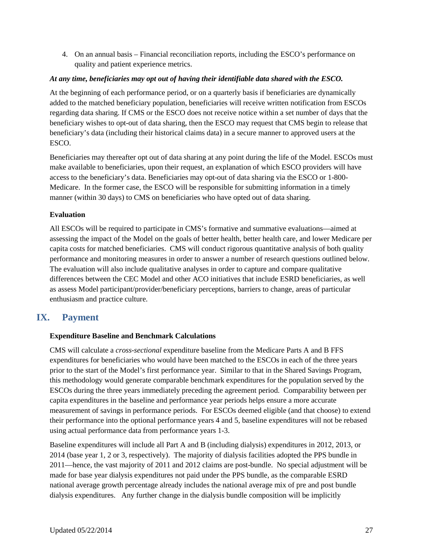4. On an annual basis – Financial reconciliation reports, including the ESCO's performance on quality and patient experience metrics.

#### *At any time, beneficiaries may opt out of having their identifiable data shared with the ESCO.*

At the beginning of each performance period, or on a quarterly basis if beneficiaries are dynamically added to the matched beneficiary population, beneficiaries will receive written notification from ESCOs regarding data sharing. If CMS or the ESCO does not receive notice within a set number of days that the beneficiary wishes to opt-out of data sharing, then the ESCO may request that CMS begin to release that beneficiary's data (including their historical claims data) in a secure manner to approved users at the **ESCO** 

Beneficiaries may thereafter opt out of data sharing at any point during the life of the Model. ESCOs must make available to beneficiaries, upon their request, an explanation of which ESCO providers will have access to the beneficiary's data. Beneficiaries may opt-out of data sharing via the ESCO or 1-800- Medicare. In the former case, the ESCO will be responsible for submitting information in a timely manner (within 30 days) to CMS on beneficiaries who have opted out of data sharing.

#### <span id="page-26-0"></span>**Evaluation**

All ESCOs will be required to participate in CMS's formative and summative evaluations—aimed at assessing the impact of the Model on the goals of better health, better health care, and lower Medicare per capita costs for matched beneficiaries. CMS will conduct rigorous quantitative analysis of both quality performance and monitoring measures in order to answer a number of research questions outlined below. The evaluation will also include qualitative analyses in order to capture and compare qualitative differences between the CEC Model and other ACO initiatives that include ESRD beneficiaries, as well as assess Model participant/provider/beneficiary perceptions, barriers to change, areas of particular enthusiasm and practice culture.

### <span id="page-26-1"></span>**IX. Payment**

#### <span id="page-26-2"></span>**Expenditure Baseline and Benchmark Calculations**

CMS will calculate a *cross-sectional* expenditure baseline from the Medicare Parts A and B FFS expenditures for beneficiaries who would have been matched to the ESCOs in each of the three years prior to the start of the Model's first performance year. Similar to that in the Shared Savings Program, this methodology would generate comparable benchmark expenditures for the population served by the ESCOs during the three years immediately preceding the agreement period. Comparability between per capita expenditures in the baseline and performance year periods helps ensure a more accurate measurement of savings in performance periods. For ESCOs deemed eligible (and that choose) to extend their performance into the optional performance years 4 and 5, baseline expenditures will not be rebased using actual performance data from performance years 1-3.

Baseline expenditures will include all Part A and B (including dialysis) expenditures in 2012, 2013, or 2014 (base year 1, 2 or 3, respectively). The majority of dialysis facilities adopted the PPS bundle in 2011—hence, the vast majority of 2011 and 2012 claims are post-bundle. No special adjustment will be made for base year dialysis expenditures not paid under the PPS bundle, as the comparable ESRD national average growth percentage already includes the national average mix of pre and post bundle dialysis expenditures. Any further change in the dialysis bundle composition will be implicitly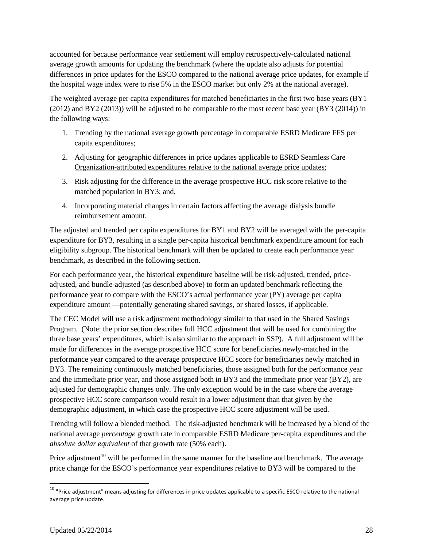accounted for because performance year settlement will employ retrospectively-calculated national average growth amounts for updating the benchmark (where the update also adjusts for potential differences in price updates for the ESCO compared to the national average price updates, for example if the hospital wage index were to rise 5% in the ESCO market but only 2% at the national average).

The weighted average per capita expenditures for matched beneficiaries in the first two base years (BY1 (2012) and BY2 (2013)) will be adjusted to be comparable to the most recent base year (BY3 (2014)) in the following ways:

- 1. Trending by the national average growth percentage in comparable ESRD Medicare FFS per capita expenditures;
- 2. Adjusting for geographic differences in price updates applicable to ESRD Seamless Care Organization-attributed expenditures relative to the national average price updates;
- 3. Risk adjusting for the difference in the average prospective HCC risk score relative to the matched population in BY3; and,
- 4. Incorporating material changes in certain factors affecting the average dialysis bundle reimbursement amount.

The adjusted and trended per capita expenditures for BY1 and BY2 will be averaged with the per-capita expenditure for BY3, resulting in a single per-capita historical benchmark expenditure amount for each eligibility subgroup. The historical benchmark will then be updated to create each performance year benchmark, as described in the following section.

For each performance year, the historical expenditure baseline will be risk-adjusted, trended, priceadjusted, and bundle-adjusted (as described above) to form an updated benchmark reflecting the performance year to compare with the ESCO's actual performance year (PY) average per capita expenditure amount —potentially generating shared savings, or shared losses, if applicable.

The CEC Model will use a risk adjustment methodology similar to that used in the Shared Savings Program. (Note: the prior section describes full HCC adjustment that will be used for combining the three base years' expenditures, which is also similar to the approach in SSP). A full adjustment will be made for differences in the average prospective HCC score for beneficiaries newly-matched in the performance year compared to the average prospective HCC score for beneficiaries newly matched in BY3. The remaining continuously matched beneficiaries, those assigned both for the performance year and the immediate prior year, and those assigned both in BY3 and the immediate prior year (BY2), are adjusted for demographic changes only. The only exception would be in the case where the average prospective HCC score comparison would result in a lower adjustment than that given by the demographic adjustment, in which case the prospective HCC score adjustment will be used.

Trending will follow a blended method. The risk-adjusted benchmark will be increased by a blend of the national average *percentage* growth rate in comparable ESRD Medicare per-capita expenditures and the *absolute dollar equivalent* of that growth rate (50% each).

Price adjustment<sup>[10](#page-27-0)</sup> will be performed in the same manner for the baseline and benchmark. The average price change for the ESCO's performance year expenditures relative to BY3 will be compared to the

l

<span id="page-27-0"></span><sup>&</sup>lt;sup>10</sup> "Price adjustment" means adjusting for differences in price updates applicable to a specific ESCO relative to the national average price update.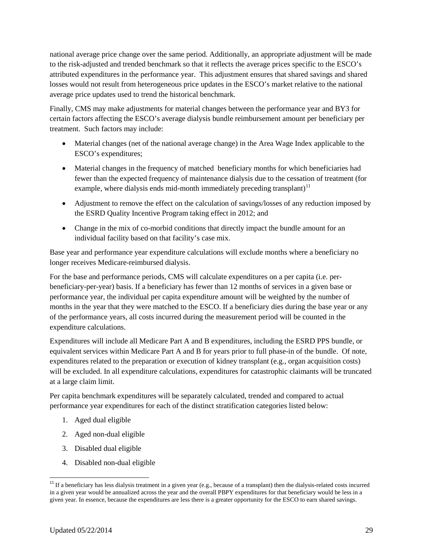national average price change over the same period. Additionally, an appropriate adjustment will be made to the risk-adjusted and trended benchmark so that it reflects the average prices specific to the ESCO's attributed expenditures in the performance year. This adjustment ensures that shared savings and shared losses would not result from heterogeneous price updates in the ESCO's market relative to the national average price updates used to trend the historical benchmark.

Finally, CMS may make adjustments for material changes between the performance year and BY3 for certain factors affecting the ESCO's average dialysis bundle reimbursement amount per beneficiary per treatment. Such factors may include:

- Material changes (net of the national average change) in the Area Wage Index applicable to the ESCO's expenditures;
- Material changes in the frequency of matched beneficiary months for which beneficiaries had fewer than the expected frequency of maintenance dialysis due to the cessation of treatment (for example, where dialysis ends mid-month immediately preceding transplant) $11$
- Adjustment to remove the effect on the calculation of savings/losses of any reduction imposed by the ESRD Quality Incentive Program taking effect in 2012; and
- Change in the mix of co-morbid conditions that directly impact the bundle amount for an individual facility based on that facility's case mix.

Base year and performance year expenditure calculations will exclude months where a beneficiary no longer receives Medicare-reimbursed dialysis.

For the base and performance periods, CMS will calculate expenditures on a per capita (i.e. perbeneficiary-per-year) basis. If a beneficiary has fewer than 12 months of services in a given base or performance year, the individual per capita expenditure amount will be weighted by the number of months in the year that they were matched to the ESCO. If a beneficiary dies during the base year or any of the performance years, all costs incurred during the measurement period will be counted in the expenditure calculations.

Expenditures will include all Medicare Part A and B expenditures, including the ESRD PPS bundle, or equivalent services within Medicare Part A and B for years prior to full phase-in of the bundle. Of note, expenditures related to the preparation or execution of kidney transplant (e.g., organ acquisition costs) will be excluded. In all expenditure calculations, expenditures for catastrophic claimants will be truncated at a large claim limit.

Per capita benchmark expenditures will be separately calculated, trended and compared to actual performance year expenditures for each of the distinct stratification categories listed below:

- 1. Aged dual eligible
- 2. Aged non-dual eligible
- 3. Disabled dual eligible
- 4. Disabled non-dual eligible

i,

<span id="page-28-0"></span> $11$  If a beneficiary has less dialysis treatment in a given year (e.g., because of a transplant) then the dialysis-related costs incurred in a given year would be annualized across the year and the overall PBPY expenditures for that beneficiary would be less in a given year. In essence, because the expenditures are less there is a greater opportunity for the ESCO to earn shared savings.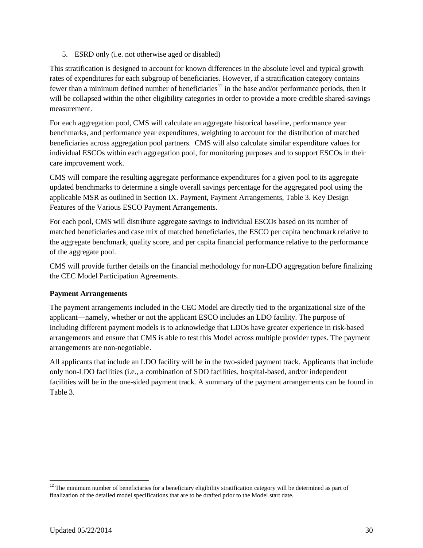5. ESRD only (i.e. not otherwise aged or disabled)

This stratification is designed to account for known differences in the absolute level and typical growth rates of expenditures for each subgroup of beneficiaries. However, if a stratification category contains fewer than a minimum defined number of beneficiaries<sup>[12](#page-29-1)</sup> in the base and/or performance periods, then it will be collapsed within the other eligibility categories in order to provide a more credible shared-savings measurement.

For each aggregation pool, CMS will calculate an aggregate historical baseline, performance year benchmarks, and performance year expenditures, weighting to account for the distribution of matched beneficiaries across aggregation pool partners. CMS will also calculate similar expenditure values for individual ESCOs within each aggregation pool, for monitoring purposes and to support ESCOs in their care improvement work.

CMS will compare the resulting aggregate performance expenditures for a given pool to its aggregate updated benchmarks to determine a single overall savings percentage for the aggregated pool using the applicable MSR as outlined in Section IX. Payment, Payment Arrangements, Table 3. Key Design Features of the Various ESCO Payment Arrangements.

For each pool, CMS will distribute aggregate savings to individual ESCOs based on its number of matched beneficiaries and case mix of matched beneficiaries, the ESCO per capita benchmark relative to the aggregate benchmark, quality score, and per capita financial performance relative to the performance of the aggregate pool.

CMS will provide further details on the financial methodology for non-LDO aggregation before finalizing the CEC Model Participation Agreements.

#### <span id="page-29-0"></span>**Payment Arrangements**

The payment arrangements included in the CEC Model are directly tied to the organizational size of the applicant—namely, whether or not the applicant ESCO includes an LDO facility. The purpose of including different payment models is to acknowledge that LDOs have greater experience in risk-based arrangements and ensure that CMS is able to test this Model across multiple provider types. The payment arrangements are non-negotiable.

All applicants that include an LDO facility will be in the two-sided payment track. Applicants that include only non-LDO facilities (i.e., a combination of SDO facilities, hospital-based, and/or independent facilities will be in the one-sided payment track. A summary of the payment arrangements can be found in Table 3.

<span id="page-29-1"></span>l  $12$  The minimum number of beneficiaries for a beneficiary eligibility stratification category will be determined as part of finalization of the detailed model specifications that are to be drafted prior to the Model start date.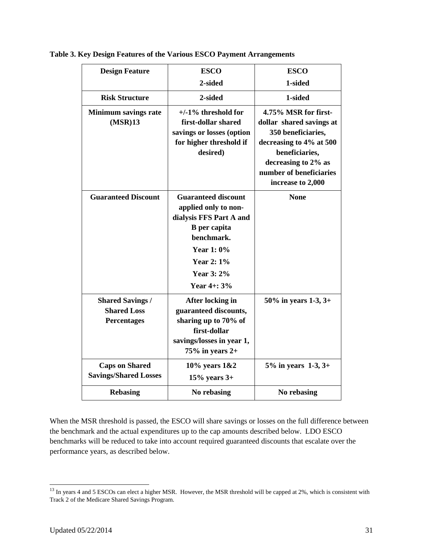| <b>Design Feature</b>                                               | <b>ESCO</b>                                                                                                                                                                | <b>ESCO</b>                                                                                                                                                                                |
|---------------------------------------------------------------------|----------------------------------------------------------------------------------------------------------------------------------------------------------------------------|--------------------------------------------------------------------------------------------------------------------------------------------------------------------------------------------|
|                                                                     | 2-sided                                                                                                                                                                    | 1-sided                                                                                                                                                                                    |
| <b>Risk Structure</b>                                               | 2-sided                                                                                                                                                                    | 1-sided                                                                                                                                                                                    |
| <b>Minimum savings rate</b><br>(MSR)13                              | $+/-1\%$ threshold for<br>first-dollar shared<br>savings or losses (option<br>for higher threshold if<br>desired)                                                          | 4.75% MSR for first-<br>dollar shared savings at<br>350 beneficiaries,<br>decreasing to 4% at 500<br>beneficiaries,<br>decreasing to 2% as<br>number of beneficiaries<br>increase to 2,000 |
| <b>Guaranteed Discount</b>                                          | <b>Guaranteed discount</b><br>applied only to non-<br>dialysis FFS Part A and<br><b>B</b> per capita<br>benchmark.<br>Year 1:0%<br>Year 2: 1%<br>Year 3: 2%<br>Year 4+: 3% | <b>None</b>                                                                                                                                                                                |
| <b>Shared Savings /</b><br><b>Shared Loss</b><br><b>Percentages</b> | After locking in<br>guaranteed discounts,<br>sharing up to 70% of<br>first-dollar<br>savings/losses in year 1,<br>75% in years $2+$                                        | 50% in years 1-3, 3+                                                                                                                                                                       |
| <b>Caps on Shared</b><br><b>Savings/Shared Losses</b>               | 10% years 1&2<br>$15\%$ years 3+                                                                                                                                           | 5% in years $1-3$ , $3+$                                                                                                                                                                   |
| <b>Rebasing</b>                                                     | No rebasing                                                                                                                                                                | No rebasing                                                                                                                                                                                |

**Table 3. Key Design Features of the Various ESCO Payment Arrangements**

When the MSR threshold is passed, the ESCO will share savings or losses on the full difference between the benchmark and the actual expenditures up to the cap amounts described below. LDO ESCO benchmarks will be reduced to take into account required guaranteed discounts that escalate over the performance years, as described below.

i,

<span id="page-30-0"></span><sup>&</sup>lt;sup>13</sup> In years 4 and 5 ESCOs can elect a higher MSR. However, the MSR threshold will be capped at 2%, which is consistent with Track 2 of the Medicare Shared Savings Program.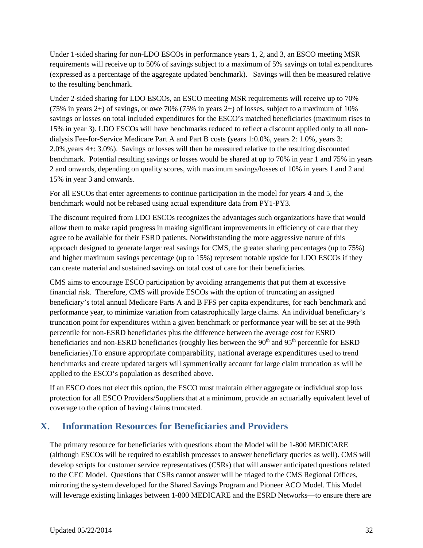Under 1-sided sharing for non-LDO ESCOs in performance years 1, 2, and 3, an ESCO meeting MSR requirements will receive up to 50% of savings subject to a maximum of 5% savings on total expenditures (expressed as a percentage of the aggregate updated benchmark). Savings will then be measured relative to the resulting benchmark.

Under 2-sided sharing for LDO ESCOs, an ESCO meeting MSR requirements will receive up to 70% (75% in years 2+) of savings, or owe 70% (75% in years 2+) of losses, subject to a maximum of 10% savings or losses on total included expenditures for the ESCO's matched beneficiaries (maximum rises to 15% in year 3). LDO ESCOs will have benchmarks reduced to reflect a discount applied only to all nondialysis Fee-for-Service Medicare Part A and Part B costs (years 1:0.0%, years 2: 1.0%, years 3: 2.0%,years 4+: 3.0%). Savings or losses will then be measured relative to the resulting discounted benchmark. Potential resulting savings or losses would be shared at up to 70% in year 1 and 75% in years 2 and onwards, depending on quality scores, with maximum savings/losses of 10% in years 1 and 2 and 15% in year 3 and onwards.

For all ESCOs that enter agreements to continue participation in the model for years 4 and 5, the benchmark would not be rebased using actual expenditure data from PY1-PY3.

The discount required from LDO ESCOs recognizes the advantages such organizations have that would allow them to make rapid progress in making significant improvements in efficiency of care that they agree to be available for their ESRD patients. Notwithstanding the more aggressive nature of this approach designed to generate larger real savings for CMS, the greater sharing percentages (up to 75%) and higher maximum savings percentage (up to 15%) represent notable upside for LDO ESCOs if they can create material and sustained savings on total cost of care for their beneficiaries.

CMS aims to encourage ESCO participation by avoiding arrangements that put them at excessive financial risk. Therefore, CMS will provide ESCOs with the option of truncating an assigned beneficiary's total annual Medicare Parts A and B FFS per capita expenditures, for each benchmark and performance year, to minimize variation from catastrophically large claims. An individual beneficiary's truncation point for expenditures within a given benchmark or performance year will be set at the 99th percentile for non-ESRD beneficiaries plus the difference between the average cost for ESRD beneficiaries and non-ESRD beneficiaries (roughly lies between the  $90<sup>th</sup>$  and  $95<sup>th</sup>$  percentile for ESRD beneficiaries).To ensure appropriate comparability, national average expenditures used to trend benchmarks and create updated targets will symmetrically account for large claim truncation as will be applied to the ESCO's population as described above.

If an ESCO does not elect this option, the ESCO must maintain either aggregate or individual stop loss protection for all ESCO Providers/Suppliers that at a minimum, provide an actuarially equivalent level of coverage to the option of having claims truncated.

# <span id="page-31-0"></span>**X. Information Resources for Beneficiaries and Providers**

The primary resource for beneficiaries with questions about the Model will be 1-800 MEDICARE (although ESCOs will be required to establish processes to answer beneficiary queries as well). CMS will develop scripts for customer service representatives (CSRs) that will answer anticipated questions related to the CEC Model. Questions that CSRs cannot answer will be triaged to the CMS Regional Offices, mirroring the system developed for the Shared Savings Program and Pioneer ACO Model. This Model will leverage existing linkages between 1-800 MEDICARE and the ESRD Networks—to ensure there are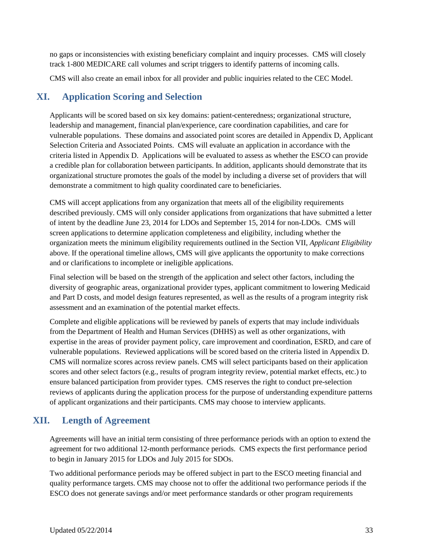no gaps or inconsistencies with existing beneficiary complaint and inquiry processes. CMS will closely track 1-800 MEDICARE call volumes and script triggers to identify patterns of incoming calls.

CMS will also create an email inbox for all provider and public inquiries related to the CEC Model.

# <span id="page-32-0"></span>**XI. Application Scoring and Selection**

Applicants will be scored based on six key domains: patient-centeredness; organizational structure, leadership and management, financial plan/experience, care coordination capabilities, and care for vulnerable populations. These domains and associated point scores are detailed in Appendix D, Applicant Selection Criteria and Associated Points. CMS will evaluate an application in accordance with the criteria listed in Appendix D. Applications will be evaluated to assess as whether the ESCO can provide a credible plan for collaboration between participants. In addition, applicants should demonstrate that its organizational structure promotes the goals of the model by including a diverse set of providers that will demonstrate a commitment to high quality coordinated care to beneficiaries.

CMS will accept applications from any organization that meets all of the eligibility requirements described previously. CMS will only consider applications from organizations that have submitted a letter of intent by the deadline June 23, 2014 for LDOs and September 15, 2014 for non-LDOs. CMS will screen applications to determine application completeness and eligibility, including whether the organization meets the minimum eligibility requirements outlined in the Section VII, *Applicant Eligibility*  above. If the operational timeline allows, CMS will give applicants the opportunity to make corrections and or clarifications to incomplete or ineligible applications.

Final selection will be based on the strength of the application and select other factors, including the diversity of geographic areas, organizational provider types, applicant commitment to lowering Medicaid and Part D costs, and model design features represented, as well as the results of a program integrity risk assessment and an examination of the potential market effects.

Complete and eligible applications will be reviewed by panels of experts that may include individuals from the Department of Health and Human Services (DHHS) as well as other organizations, with expertise in the areas of provider payment policy, care improvement and coordination, ESRD, and care of vulnerable populations. Reviewed applications will be scored based on the criteria listed in Appendix D. CMS will normalize scores across review panels. CMS will select participants based on their application scores and other select factors (e.g., results of program integrity review, potential market effects, etc.) to ensure balanced participation from provider types. CMS reserves the right to conduct pre-selection reviews of applicants during the application process for the purpose of understanding expenditure patterns of applicant organizations and their participants. CMS may choose to interview applicants.

# <span id="page-32-1"></span>**XII. Length of Agreement**

Agreements will have an initial term consisting of three performance periods with an option to extend the agreement for two additional 12-month performance periods. CMS expects the first performance period to begin in January 2015 for LDOs and July 2015 for SDOs.

Two additional performance periods may be offered subject in part to the ESCO meeting financial and quality performance targets. CMS may choose not to offer the additional two performance periods if the ESCO does not generate savings and/or meet performance standards or other program requirements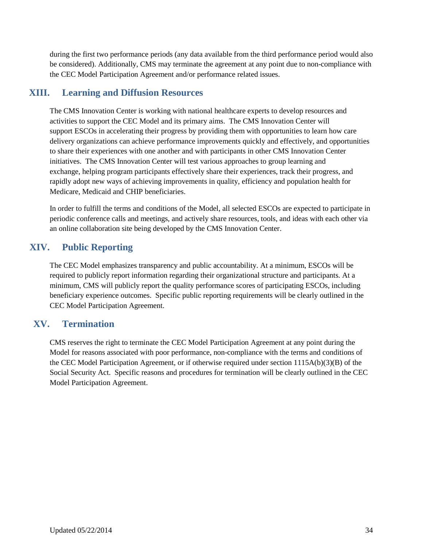during the first two performance periods (any data available from the third performance period would also be considered). Additionally, CMS may terminate the agreement at any point due to non-compliance with the CEC Model Participation Agreement and/or performance related issues.

### <span id="page-33-0"></span>**XIII. Learning and Diffusion Resources**

The CMS Innovation Center is working with national healthcare experts to develop resources and activities to support the CEC Model and its primary aims. The CMS Innovation Center will support ESCOs in accelerating their progress by providing them with opportunities to learn how care delivery organizations can achieve performance improvements quickly and effectively, and opportunities to share their experiences with one another and with participants in other CMS Innovation Center initiatives. The CMS Innovation Center will test various approaches to group learning and exchange, helping program participants effectively share their experiences, track their progress, and rapidly adopt new ways of achieving improvements in quality, efficiency and population health for Medicare, Medicaid and CHIP beneficiaries.

In order to fulfill the terms and conditions of the Model, all selected ESCOs are expected to participate in periodic conference calls and meetings, and actively share resources, tools, and ideas with each other via an online collaboration site being developed by the CMS Innovation Center.

# <span id="page-33-1"></span>**XIV. Public Reporting**

The CEC Model emphasizes transparency and public accountability. At a minimum, ESCOs will be required to publicly report information regarding their organizational structure and participants. At a minimum, CMS will publicly report the quality performance scores of participating ESCOs, including beneficiary experience outcomes. Specific public reporting requirements will be clearly outlined in the CEC Model Participation Agreement.

# <span id="page-33-2"></span>**XV. Termination**

CMS reserves the right to terminate the CEC Model Participation Agreement at any point during the Model for reasons associated with poor performance, non-compliance with the terms and conditions of the CEC Model Participation Agreement, or if otherwise required under section 1115A(b)(3)(B) of the Social Security Act. Specific reasons and procedures for termination will be clearly outlined in the CEC Model Participation Agreement.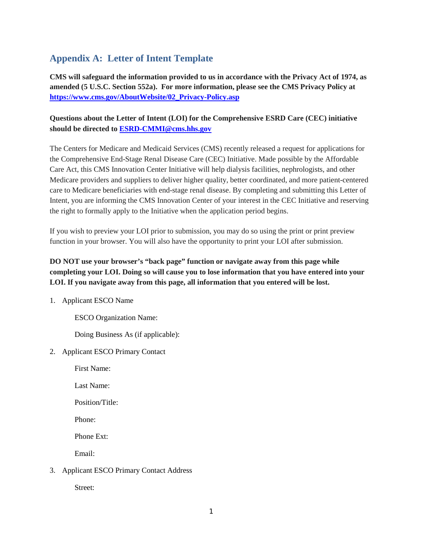# <span id="page-34-0"></span>**Appendix A: Letter of Intent Template**

**CMS will safeguard the information provided to us in accordance with the Privacy Act of 1974, as amended (5 U.S.C. Section 552a). For more information, please see the CMS Privacy Policy at [https://www.cms.gov/AboutWebsite/02\\_Privacy-Policy.asp](https://www.cms.gov/About-CMS/Agency-Information/Aboutwebsite/index.html?redirect=/AboutWebsite/02_Privacy-Policy.asp)**

#### **Questions about the Letter of Intent (LOI) for the Comprehensive ESRD Care (CEC) initiative should be directed to [ESRD-CMMI@cms.hhs.gov](mailto:ESRD-CMMI@cms.hhs.gov)**

The Centers for Medicare and Medicaid Services (CMS) recently released a request for applications for the Comprehensive End-Stage Renal Disease Care (CEC) Initiative. Made possible by the Affordable Care Act, this CMS Innovation Center Initiative will help dialysis facilities, nephrologists, and other Medicare providers and suppliers to deliver higher quality, better coordinated, and more patient-centered care to Medicare beneficiaries with end-stage renal disease. By completing and submitting this Letter of Intent, you are informing the CMS Innovation Center of your interest in the CEC Initiative and reserving the right to formally apply to the Initiative when the application period begins.

If you wish to preview your LOI prior to submission, you may do so using the print or print preview function in your browser. You will also have the opportunity to print your LOI after submission.

#### **DO NOT use your browser's "back page" function or navigate away from this page while completing your LOI. Doing so will cause you to lose information that you have entered into your LOI. If you navigate away from this page, all information that you entered will be lost.**

1. Applicant ESCO Name

ESCO Organization Name:

Doing Business As (if applicable):

2. Applicant ESCO Primary Contact

First Name:

Last Name:

Position/Title:

Phone:

Phone Ext:

Email:

3. Applicant ESCO Primary Contact Address

Street: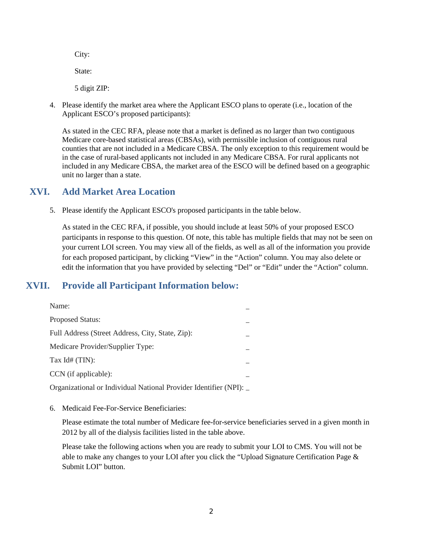City:

State:

5 digit ZIP:

4. Please identify the market area where the Applicant ESCO plans to operate (i.e., location of the Applicant ESCO's proposed participants):

As stated in the CEC RFA, please note that a market is defined as no larger than two contiguous Medicare core-based statistical areas (CBSAs), with permissible inclusion of contiguous rural counties that are not included in a Medicare CBSA. The only exception to this requirement would be in the case of rural-based applicants not included in any Medicare CBSA. For rural applicants not included in any Medicare CBSA, the market area of the ESCO will be defined based on a geographic unit no larger than a state.

### <span id="page-35-0"></span>**XVI. Add Market Area Location**

5. Please identify the Applicant ESCO's proposed participants in the table below.

As stated in the CEC RFA, if possible, you should include at least 50% of your proposed ESCO participants in response to this question. Of note, this table has multiple fields that may not be seen on your current LOI screen. You may view all of the fields, as well as all of the information you provide for each proposed participant, by clicking "View" in the "Action" column. You may also delete or edit the information that you have provided by selecting "Del" or "Edit" under the "Action" column.

# **XVII. Provide all Participant Information below:**

<span id="page-35-1"></span>

| Name:                                            |  |
|--------------------------------------------------|--|
| <b>Proposed Status:</b>                          |  |
| Full Address (Street Address, City, State, Zip): |  |
| Medicare Provider/Supplier Type:                 |  |
| Tax $Id# (TIN)$ :                                |  |
| CCN (if applicable):                             |  |
|                                                  |  |

- Organizational or Individual National Provider Identifier (NPI): \_
- 6. Medicaid Fee-For-Service Beneficiaries:

Please estimate the total number of Medicare fee-for-service beneficiaries served in a given month in 2012 by all of the dialysis facilities listed in the table above.

Please take the following actions when you are ready to submit your LOI to CMS. You will not be able to make any changes to your LOI after you click the "Upload Signature Certification Page & Submit LOI" button.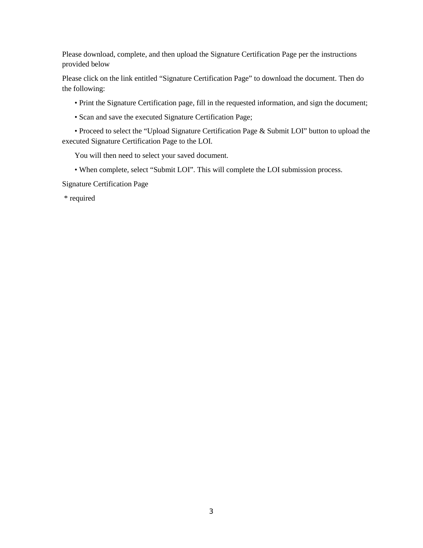Please download, complete, and then upload the Signature Certification Page per the instructions provided below

Please click on the link entitled "Signature Certification Page" to download the document. Then do the following:

- Print the Signature Certification page, fill in the requested information, and sign the document;
- Scan and save the executed Signature Certification Page;

• Proceed to select the "Upload Signature Certification Page & Submit LOI" button to upload the executed Signature Certification Page to the LOI.

You will then need to select your saved document.

• When complete, select "Submit LOI". This will complete the LOI submission process.

Signature Certification Page

\* required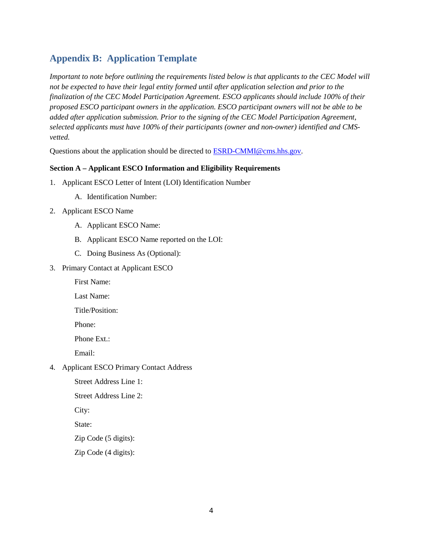# <span id="page-37-0"></span>**Appendix B: Application Template**

*Important to note before outlining the requirements listed below is that applicants to the CEC Model will not be expected to have their legal entity formed until after application selection and prior to the finalization of the CEC Model Participation Agreement. ESCO applicants should include 100% of their proposed ESCO participant owners in the application. ESCO participant owners will not be able to be added after application submission. Prior to the signing of the CEC Model Participation Agreement, selected applicants must have 100% of their participants (owner and non-owner) identified and CMSvetted.* 

Questions about the application should be directed to [ESRD-CMMI@cms.hhs.gov.](mailto:ESRD-CMMI@cms.hhs.gov)

#### **Section A – Applicant ESCO Information and Eligibility Requirements**

- 1. Applicant ESCO Letter of Intent (LOI) Identification Number
	- A. Identification Number:
- 2. Applicant ESCO Name
	- A. Applicant ESCO Name:
	- B. Applicant ESCO Name reported on the LOI:
	- C. Doing Business As (Optional):
- 3. Primary Contact at Applicant ESCO

First Name:

Last Name:

Title/Position:

Phone:

Phone Ext.:

Email:

4. Applicant ESCO Primary Contact Address

Street Address Line 1:

Street Address Line 2:

City:

State:

Zip Code (5 digits):

Zip Code (4 digits):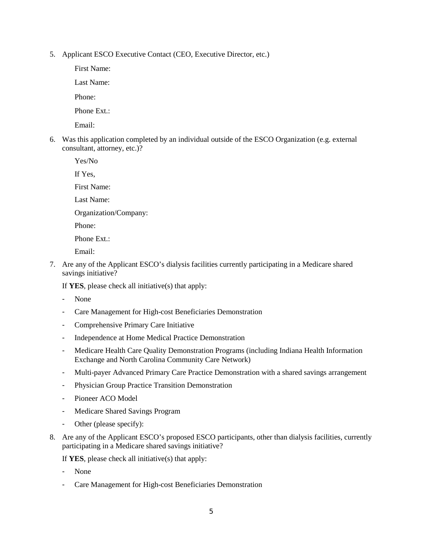5. Applicant ESCO Executive Contact (CEO, Executive Director, etc.)

First Name:

Last Name:

Phone:

Phone Ext.:

Email:

6. Was this application completed by an individual outside of the ESCO Organization (e.g. external consultant, attorney, etc.)?

Yes/No

If Yes,

First Name:

Last Name:

Organization/Company:

Phone:

Phone Ext.:

Email:

7. Are any of the Applicant ESCO's dialysis facilities currently participating in a Medicare shared savings initiative?

If **YES**, please check all initiative(s) that apply:

- None
- Care Management for High-cost Beneficiaries Demonstration
- Comprehensive Primary Care Initiative
- Independence at Home Medical Practice Demonstration
- Medicare Health Care Quality Demonstration Programs (including Indiana Health Information Exchange and North Carolina Community Care Network)
- Multi-payer Advanced Primary Care Practice Demonstration with a shared savings arrangement
- Physician Group Practice Transition Demonstration
- Pioneer ACO Model
- Medicare Shared Savings Program
- Other (please specify):
- 8. Are any of the Applicant ESCO's proposed ESCO participants, other than dialysis facilities, currently participating in a Medicare shared savings initiative?

If **YES**, please check all initiative(s) that apply:

- None
- Care Management for High-cost Beneficiaries Demonstration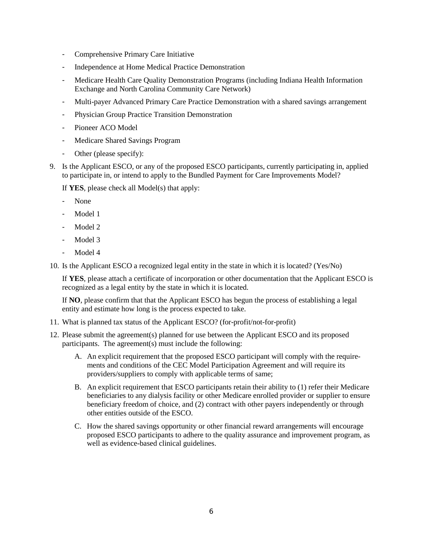- Comprehensive Primary Care Initiative
- Independence at Home Medical Practice Demonstration
- Medicare Health Care Quality Demonstration Programs (including Indiana Health Information Exchange and North Carolina Community Care Network)
- Multi-payer Advanced Primary Care Practice Demonstration with a shared savings arrangement
- Physician Group Practice Transition Demonstration
- Pioneer ACO Model
- Medicare Shared Savings Program
- Other (please specify):
- 9. Is the Applicant ESCO, or any of the proposed ESCO participants, currently participating in, applied to participate in, or intend to apply to the Bundled Payment for Care Improvements Model?

If **YES**, please check all Model(s) that apply:

- None
- Model 1
- Model 2
- Model 3
- Model 4

10. Is the Applicant ESCO a recognized legal entity in the state in which it is located? (Yes/No)

If **YES**, please attach a certificate of incorporation or other documentation that the Applicant ESCO is recognized as a legal entity by the state in which it is located.

If **NO**, please confirm that that the Applicant ESCO has begun the process of establishing a legal entity and estimate how long is the process expected to take.

- 11. What is planned tax status of the Applicant ESCO? (for-profit/not-for-profit)
- 12. Please submit the agreement(s) planned for use between the Applicant ESCO and its proposed participants. The agreement(s) must include the following:
	- A. An explicit requirement that the proposed ESCO participant will comply with the requirements and conditions of the CEC Model Participation Agreement and will require its providers/suppliers to comply with applicable terms of same;
	- B. An explicit requirement that ESCO participants retain their ability to (1) refer their Medicare beneficiaries to any dialysis facility or other Medicare enrolled provider or supplier to ensure beneficiary freedom of choice, and (2) contract with other payers independently or through other entities outside of the ESCO.
	- C. How the shared savings opportunity or other financial reward arrangements will encourage proposed ESCO participants to adhere to the quality assurance and improvement program, as well as evidence-based clinical guidelines.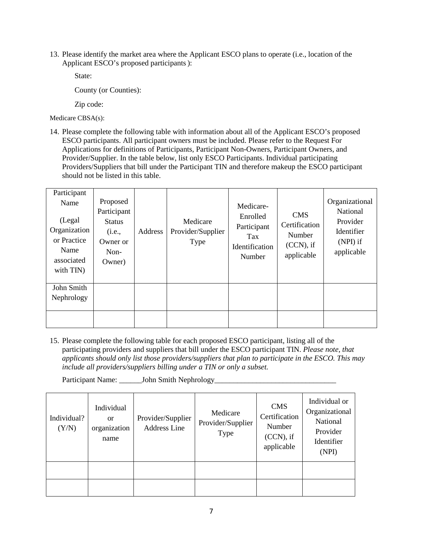13. Please identify the market area where the Applicant ESCO plans to operate (i.e., location of the Applicant ESCO's proposed participants):

State:

County (or Counties):

Zip code:

Medicare CBSA(s):

14. Please complete the following table with information about all of the Applicant ESCO's proposed ESCO participants. All participant owners must be included. Please refer to the Request For Applications for definitions of Participants, Participant Non-Owners, Participant Owners, and Provider/Supplier. In the table below, list only ESCO Participants. Individual participating Providers/Suppliers that bill under the Participant TIN and therefore makeup the ESCO participant should not be listed in this table.

| Participant<br>Name<br>(Legal)<br>Organization<br>or Practice<br>Name<br>associated<br>with TIN) | Proposed<br>Participant<br><b>Status</b><br>(i.e.,<br>Owner or<br>$Non-$<br>Owner) | Address | Medicare<br>Provider/Supplier<br>Type | Medicare-<br>Enrolled<br>Participant<br>Tax<br><b>Identification</b><br>Number | <b>CMS</b><br>Certification<br>Number<br>$(CCN)$ , if<br>applicable | Organizational<br>National<br>Provider<br>Identifier<br>$(NPI)$ if<br>applicable |
|--------------------------------------------------------------------------------------------------|------------------------------------------------------------------------------------|---------|---------------------------------------|--------------------------------------------------------------------------------|---------------------------------------------------------------------|----------------------------------------------------------------------------------|
| John Smith<br>Nephrology                                                                         |                                                                                    |         |                                       |                                                                                |                                                                     |                                                                                  |
|                                                                                                  |                                                                                    |         |                                       |                                                                                |                                                                     |                                                                                  |

15. Please complete the following table for each proposed ESCO participant, listing all of the participating providers and suppliers that bill under the ESCO participant TIN. *Please note, that applicants should only list those providers/suppliers that plan to participate in the ESCO. This may include all providers/suppliers billing under a TIN or only a subset.*

Participant Name: \_\_\_\_\_\_\_John Smith Nephrology\_\_\_\_\_

| Individual?<br>(Y/N) | Individual<br><sub>or</sub><br>organization<br>name | Provider/Supplier<br><b>Address Line</b> | Medicare<br>Provider/Supplier<br>Type | <b>CMS</b><br>Certification<br>Number<br>$(CCN)$ , if<br>applicable | Individual or<br>Organizational<br>National<br>Provider<br>Identifier<br>(NPI) |
|----------------------|-----------------------------------------------------|------------------------------------------|---------------------------------------|---------------------------------------------------------------------|--------------------------------------------------------------------------------|
|                      |                                                     |                                          |                                       |                                                                     |                                                                                |
|                      |                                                     |                                          |                                       |                                                                     |                                                                                |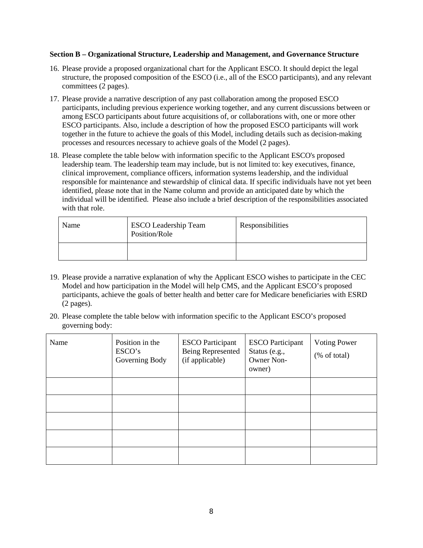#### **Section B – O**r**ganizational Structure, Leadership and Management, and Governance Structure**

- 16. Please provide a proposed organizational chart for the Applicant ESCO. It should depict the legal structure, the proposed composition of the ESCO (i.e., all of the ESCO participants), and any relevant committees (2 pages).
- 17. Please provide a narrative description of any past collaboration among the proposed ESCO participants, including previous experience working together, and any current discussions between or among ESCO participants about future acquisitions of, or collaborations with, one or more other ESCO participants. Also, include a description of how the proposed ESCO participants will work together in the future to achieve the goals of this Model, including details such as decision-making processes and resources necessary to achieve goals of the Model (2 pages).
- 18. Please complete the table below with information specific to the Applicant ESCO's proposed leadership team. The leadership team may include, but is not limited to: key executives, finance, clinical improvement, compliance officers, information systems leadership, and the individual responsible for maintenance and stewardship of clinical data. If specific individuals have not yet been identified, please note that in the Name column and provide an anticipated date by which the individual will be identified. Please also include a brief description of the responsibilities associated with that role.

| Name | <b>ESCO</b> Leadership Team<br>Position/Role | Responsibilities |
|------|----------------------------------------------|------------------|
|      |                                              |                  |

- 19. Please provide a narrative explanation of why the Applicant ESCO wishes to participate in the CEC Model and how participation in the Model will help CMS, and the Applicant ESCO's proposed participants, achieve the goals of better health and better care for Medicare beneficiaries with ESRD (2 pages).
- 20. Please complete the table below with information specific to the Applicant ESCO's proposed governing body:

| Name | Position in the<br>ESCO's<br>Governing Body | <b>ESCO</b> Participant<br>Being Represented<br>(if applicable) | <b>ESCO</b> Participant<br>Status (e.g.,<br>Owner Non-<br>owner) | <b>Voting Power</b><br>$(% \mathcal{L}_{0}^{\infty}$ (% of total) |
|------|---------------------------------------------|-----------------------------------------------------------------|------------------------------------------------------------------|-------------------------------------------------------------------|
|      |                                             |                                                                 |                                                                  |                                                                   |
|      |                                             |                                                                 |                                                                  |                                                                   |
|      |                                             |                                                                 |                                                                  |                                                                   |
|      |                                             |                                                                 |                                                                  |                                                                   |
|      |                                             |                                                                 |                                                                  |                                                                   |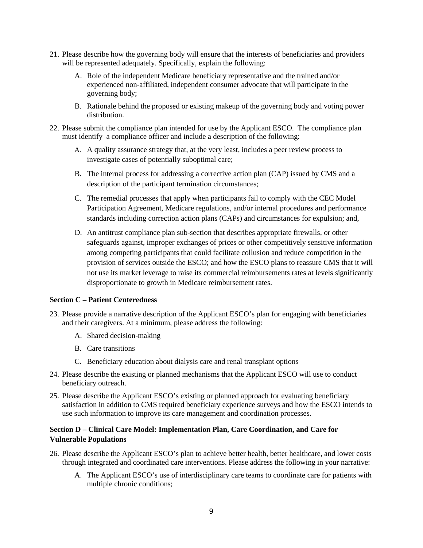- 21. Please describe how the governing body will ensure that the interests of beneficiaries and providers will be represented adequately. Specifically, explain the following:
	- A. Role of the independent Medicare beneficiary representative and the trained and/or experienced non-affiliated, independent consumer advocate that will participate in the governing body;
	- B. Rationale behind the proposed or existing makeup of the governing body and voting power distribution.
- 22. Please submit the compliance plan intended for use by the Applicant ESCO. The compliance plan must identify a compliance officer and include a description of the following:
	- A. A quality assurance strategy that, at the very least, includes a peer review process to investigate cases of potentially suboptimal care;
	- B. The internal process for addressing a corrective action plan (CAP) issued by CMS and a description of the participant termination circumstances;
	- C. The remedial processes that apply when participants fail to comply with the CEC Model Participation Agreement, Medicare regulations, and/or internal procedures and performance standards including correction action plans (CAPs) and circumstances for expulsion; and,
	- D. An antitrust compliance plan sub-section that describes appropriate firewalls, or other safeguards against, improper exchanges of prices or other competitively sensitive information among competing participants that could facilitate collusion and reduce competition in the provision of services outside the ESCO; and how the ESCO plans to reassure CMS that it will not use its market leverage to raise its commercial reimbursements rates at levels significantly disproportionate to growth in Medicare reimbursement rates.

#### **Section C – Patient Centeredness**

- 23. Please provide a narrative description of the Applicant ESCO's plan for engaging with beneficiaries and their caregivers. At a minimum, please address the following:
	- A. Shared decision-making
	- B. Care transitions
	- C. Beneficiary education about dialysis care and renal transplant options
- 24. Please describe the existing or planned mechanisms that the Applicant ESCO will use to conduct beneficiary outreach.
- 25. Please describe the Applicant ESCO's existing or planned approach for evaluating beneficiary satisfaction in addition to CMS required beneficiary experience surveys and how the ESCO intends to use such information to improve its care management and coordination processes.

#### **Section D – Clinical Care Model: Implementation Plan, Care Coordination, and Care for Vulnerable Populations**

- 26. Please describe the Applicant ESCO's plan to achieve better health, better healthcare, and lower costs through integrated and coordinated care interventions. Please address the following in your narrative:
	- A. The Applicant ESCO's use of interdisciplinary care teams to coordinate care for patients with multiple chronic conditions;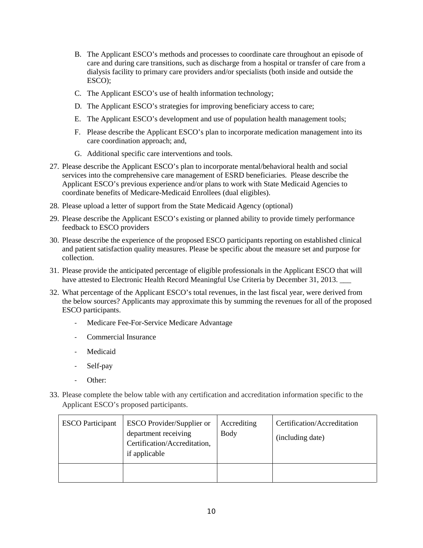- B. The Applicant ESCO's methods and processes to coordinate care throughout an episode of care and during care transitions, such as discharge from a hospital or transfer of care from a dialysis facility to primary care providers and/or specialists (both inside and outside the ESCO);
- C. The Applicant ESCO's use of health information technology;
- D. The Applicant ESCO's strategies for improving beneficiary access to care;
- E. The Applicant ESCO's development and use of population health management tools;
- F. Please describe the Applicant ESCO's plan to incorporate medication management into its care coordination approach; and,
- G. Additional specific care interventions and tools.
- 27. Please describe the Applicant ESCO's plan to incorporate mental/behavioral health and social services into the comprehensive care management of ESRD beneficiaries. Please describe the Applicant ESCO's previous experience and/or plans to work with State Medicaid Agencies to coordinate benefits of Medicare-Medicaid Enrollees (dual eligibles).
- 28. Please upload a letter of support from the State Medicaid Agency (optional)
- 29. Please describe the Applicant ESCO's existing or planned ability to provide timely performance feedback to ESCO providers
- 30. Please describe the experience of the proposed ESCO participants reporting on established clinical and patient satisfaction quality measures. Please be specific about the measure set and purpose for collection.
- 31. Please provide the anticipated percentage of eligible professionals in the Applicant ESCO that will have attested to Electronic Health Record Meaningful Use Criteria by December 31, 2013.
- 32. What percentage of the Applicant ESCO's total revenues, in the last fiscal year, were derived from the below sources? Applicants may approximate this by summing the revenues for all of the proposed ESCO participants.
	- Medicare Fee-For-Service Medicare Advantage
	- Commercial Insurance
	- Medicaid
	- Self-pay
	- Other:
- 33. Please complete the below table with any certification and accreditation information specific to the Applicant ESCO's proposed participants.

| <b>ESCO</b> Participant | <b>ESCO</b> Provider/Supplier or<br>department receiving<br>Certification/Accreditation,<br>if applicable | Accrediting<br><b>Body</b> | Certification/Accreditation<br>(including date) |
|-------------------------|-----------------------------------------------------------------------------------------------------------|----------------------------|-------------------------------------------------|
|                         |                                                                                                           |                            |                                                 |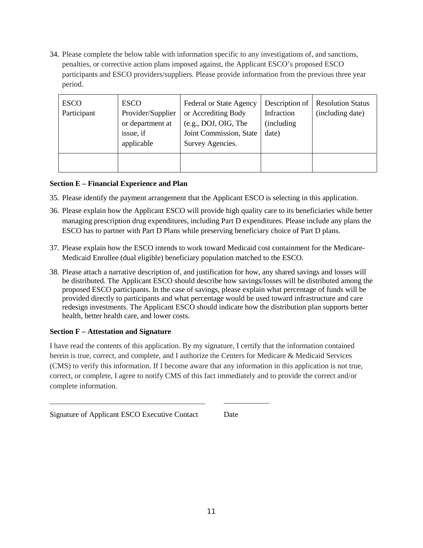34. Please complete the below table with information specific to any investigations of, and sanctions, penalties, or corrective action plans imposed against, the Applicant ESCO's proposed ESCO participants and ESCO providers/suppliers. Please provide information from the previous three year period.

| <b>ESCO</b><br>Participant | <b>ESCO</b><br>Provider/Supplier<br>or department at<br>issue, if<br>applicable | Federal or State Agency<br>or Accrediting Body<br>(e.g., DOJ, OIG, The<br>Joint Commission, State<br>Survey Agencies. | Description of<br>Infraction<br>(including)<br>date) | <b>Resolution Status</b><br>(including date) |
|----------------------------|---------------------------------------------------------------------------------|-----------------------------------------------------------------------------------------------------------------------|------------------------------------------------------|----------------------------------------------|
|                            |                                                                                 |                                                                                                                       |                                                      |                                              |

#### **Section E – Financial Experience and Plan**

- 35. Please identify the payment arrangement that the Applicant ESCO is selecting in this application.
- 36. Please explain how the Applicant ESCO will provide high quality care to its beneficiaries while better managing prescription drug expenditures, including Part D expenditures. Please include any plans the ESCO has to partner with Part D Plans while preserving beneficiary choice of Part D plans.
- 37. Please explain how the ESCO intends to work toward Medicaid cost containment for the Medicare-Medicaid Enrollee (dual eligible) beneficiary population matched to the ESCO.
- 38. Please attach a narrative description of, and justification for how, any shared savings and losses will be distributed. The Applicant ESCO should describe how savings/losses will be distributed among the proposed ESCO participants. In the case of savings, please explain what percentage of funds will be provided directly to participants and what percentage would be used toward infrastructure and care redesign investments. The Applicant ESCO should indicate how the distribution plan supports better health, better health care, and lower costs.

#### **Section F – Attestation and Signature**

I have read the contents of this application. By my signature, I certify that the information contained herein is true, correct, and complete, and I authorize the Centers for Medicare & Medicaid Services (CMS) to verify this information. If I become aware that any information in this application is not true, correct, or complete, I agree to notify CMS of this fact immediately and to provide the correct and/or complete information.

 $\frac{1}{2}$  ,  $\frac{1}{2}$  ,  $\frac{1}{2}$  ,  $\frac{1}{2}$  ,  $\frac{1}{2}$  ,  $\frac{1}{2}$  ,  $\frac{1}{2}$  ,  $\frac{1}{2}$ 

Signature of Applicant ESCO Executive Contact Date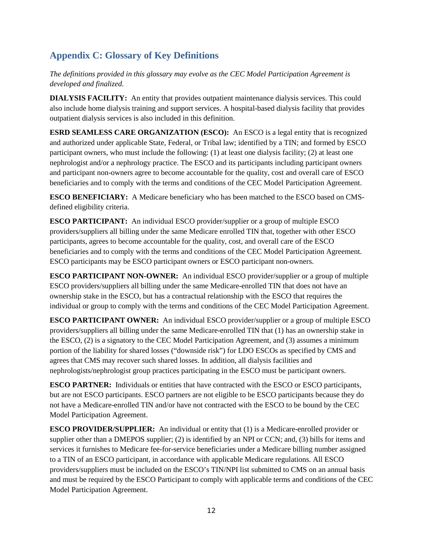# <span id="page-45-0"></span>**Appendix C: Glossary of Key Definitions**

*The definitions provided in this glossary may evolve as the CEC Model Participation Agreement is developed and finalized.*

**DIALYSIS FACILITY:** An entity that provides outpatient maintenance dialysis services. This could also include home dialysis training and support services. A hospital-based dialysis facility that provides outpatient dialysis services is also included in this definition.

**ESRD SEAMLESS CARE ORGANIZATION (ESCO):** An ESCO is a legal entity that is recognized and authorized under applicable State, Federal, or Tribal law; identified by a TIN; and formed by ESCO participant owners, who must include the following: (1) at least one dialysis facility; (2) at least one nephrologist and/or a nephrology practice. The ESCO and its participants including participant owners and participant non-owners agree to become accountable for the quality, cost and overall care of ESCO beneficiaries and to comply with the terms and conditions of the CEC Model Participation Agreement.

**ESCO BENEFICIARY:** A Medicare beneficiary who has been matched to the ESCO based on CMSdefined eligibility criteria.

**ESCO PARTICIPANT:** An individual ESCO provider/supplier or a group of multiple ESCO providers/suppliers all billing under the same Medicare enrolled TIN that, together with other ESCO participants, agrees to become accountable for the quality, cost, and overall care of the ESCO beneficiaries and to comply with the terms and conditions of the CEC Model Participation Agreement. ESCO participants may be ESCO participant owners or ESCO participant non-owners.

**ESCO PARTICIPANT NON-OWNER:** An individual ESCO provider/supplier or a group of multiple ESCO providers/suppliers all billing under the same Medicare-enrolled TIN that does not have an ownership stake in the ESCO, but has a contractual relationship with the ESCO that requires the individual or group to comply with the terms and conditions of the CEC Model Participation Agreement.

**ESCO PARTICIPANT OWNER:** An individual ESCO provider/supplier or a group of multiple ESCO providers/suppliers all billing under the same Medicare-enrolled TIN that (1) has an ownership stake in the ESCO, (2) is a signatory to the CEC Model Participation Agreement, and (3) assumes a minimum portion of the liability for shared losses ("downside risk") for LDO ESCOs as specified by CMS and agrees that CMS may recover such shared losses. In addition, all dialysis facilities and nephrologists/nephrologist group practices participating in the ESCO must be participant owners.

**ESCO PARTNER:** Individuals or entities that have contracted with the ESCO or ESCO participants, but are not ESCO participants. ESCO partners are not eligible to be ESCO participants because they do not have a Medicare-enrolled TIN and/or have not contracted with the ESCO to be bound by the CEC Model Participation Agreement.

**ESCO PROVIDER/SUPPLIER:** An individual or entity that (1) is a Medicare-enrolled provider or supplier other than a DMEPOS supplier; (2) is identified by an NPI or CCN; and, (3) bills for items and services it furnishes to Medicare fee-for-service beneficiaries under a Medicare billing number assigned to a TIN of an ESCO participant, in accordance with applicable Medicare regulations. All ESCO providers/suppliers must be included on the ESCO's TIN/NPI list submitted to CMS on an annual basis and must be required by the ESCO Participant to comply with applicable terms and conditions of the CEC Model Participation Agreement.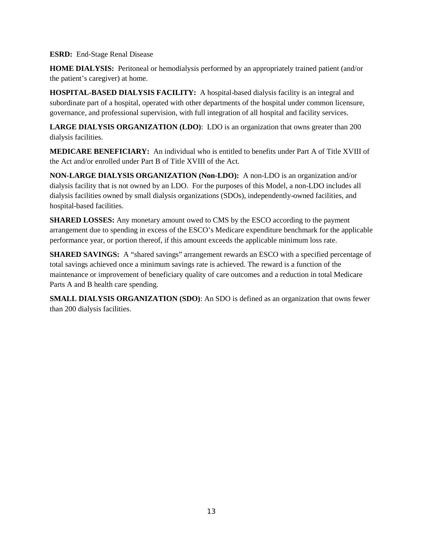**ESRD:** End-Stage Renal Disease

**HOME DIALYSIS:** Peritoneal or hemodialysis performed by an appropriately trained patient (and/or the patient's caregiver) at home.

**HOSPITAL-BASED DIALYSIS FACILITY:** A hospital-based dialysis facility is an integral and subordinate part of a hospital, operated with other departments of the hospital under common licensure, governance, and professional supervision, with full integration of all hospital and facility services.

**LARGE DIALYSIS ORGANIZATION (LDO)**: LDO is an organization that owns greater than 200 dialysis facilities.

**MEDICARE BENEFICIARY:** An individual who is entitled to benefits under Part A of Title XVIII of the Act and/or enrolled under Part B of Title XVIII of the Act.

**NON-LARGE DIALYSIS ORGANIZATION (Non-LDO):** A non-LDO is an organization and/or dialysis facility that is not owned by an LDO. For the purposes of this Model, a non-LDO includes all dialysis facilities owned by small dialysis organizations (SDOs), independently-owned facilities, and hospital-based facilities.

**SHARED LOSSES:** Any monetary amount owed to CMS by the ESCO according to the payment arrangement due to spending in excess of the ESCO's Medicare expenditure benchmark for the applicable performance year, or portion thereof, if this amount exceeds the applicable minimum loss rate.

**SHARED SAVINGS:** A "shared savings" arrangement rewards an ESCO with a specified percentage of total savings achieved once a minimum savings rate is achieved. The reward is a function of the maintenance or improvement of beneficiary quality of care outcomes and a reduction in total Medicare Parts A and B health care spending.

**SMALL DIALYSIS ORGANIZATION (SDO)**: An SDO is defined as an organization that owns fewer than 200 dialysis facilities.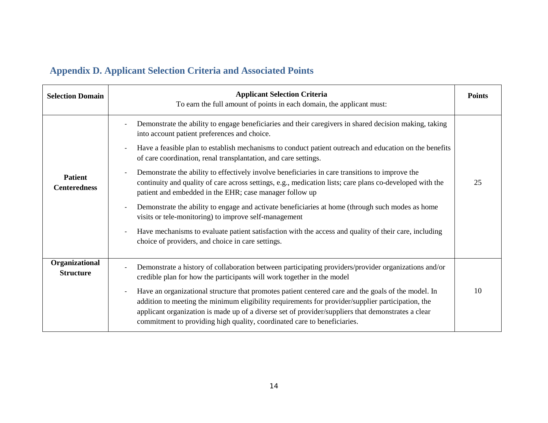# **Appendix D. Applicant Selection Criteria and Associated Points**

<span id="page-47-0"></span>

| <b>Selection Domain</b>               | <b>Applicant Selection Criteria</b><br>To earn the full amount of points in each domain, the applicant must:                                                                                                                                                                                                                                                                                                           | <b>Points</b> |
|---------------------------------------|------------------------------------------------------------------------------------------------------------------------------------------------------------------------------------------------------------------------------------------------------------------------------------------------------------------------------------------------------------------------------------------------------------------------|---------------|
|                                       | Demonstrate the ability to engage beneficiaries and their caregivers in shared decision making, taking<br>into account patient preferences and choice.                                                                                                                                                                                                                                                                 |               |
|                                       | Have a feasible plan to establish mechanisms to conduct patient outreach and education on the benefits<br>of care coordination, renal transplantation, and care settings.                                                                                                                                                                                                                                              |               |
| <b>Patient</b><br><b>Centeredness</b> | Demonstrate the ability to effectively involve beneficiaries in care transitions to improve the<br>continuity and quality of care across settings, e.g., medication lists; care plans co-developed with the<br>patient and embedded in the EHR; case manager follow up                                                                                                                                                 | 25            |
|                                       | Demonstrate the ability to engage and activate beneficiaries at home (through such modes as home<br>visits or tele-monitoring) to improve self-management                                                                                                                                                                                                                                                              |               |
|                                       | Have mechanisms to evaluate patient satisfaction with the access and quality of their care, including<br>$\overline{\phantom{a}}$<br>choice of providers, and choice in care settings.                                                                                                                                                                                                                                 |               |
| Organizational<br><b>Structure</b>    | Demonstrate a history of collaboration between participating providers/provider organizations and/or<br>credible plan for how the participants will work together in the model                                                                                                                                                                                                                                         |               |
|                                       | Have an organizational structure that promotes patient centered care and the goals of the model. In<br>$\overline{\phantom{a}}$<br>addition to meeting the minimum eligibility requirements for provider/supplier participation, the<br>applicant organization is made up of a diverse set of provider/suppliers that demonstrates a clear<br>commitment to providing high quality, coordinated care to beneficiaries. | 10            |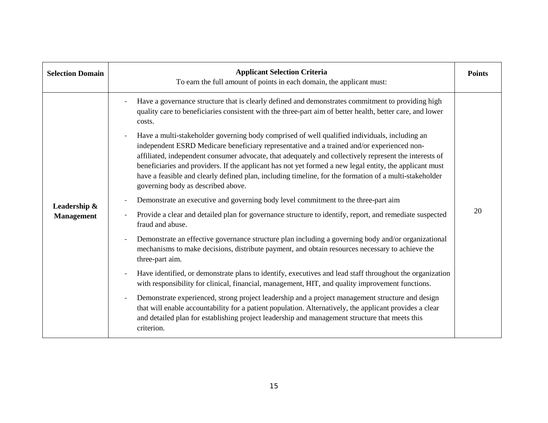| <b>Selection Domain</b> | <b>Applicant Selection Criteria</b><br>To earn the full amount of points in each domain, the applicant must:                                                                                                                                                                                                                                                                                                                                                                                                                                                     | <b>Points</b> |
|-------------------------|------------------------------------------------------------------------------------------------------------------------------------------------------------------------------------------------------------------------------------------------------------------------------------------------------------------------------------------------------------------------------------------------------------------------------------------------------------------------------------------------------------------------------------------------------------------|---------------|
|                         | Have a governance structure that is clearly defined and demonstrates commitment to providing high<br>quality care to beneficiaries consistent with the three-part aim of better health, better care, and lower<br>costs.                                                                                                                                                                                                                                                                                                                                         |               |
|                         | Have a multi-stakeholder governing body comprised of well qualified individuals, including an<br>independent ESRD Medicare beneficiary representative and a trained and/or experienced non-<br>affiliated, independent consumer advocate, that adequately and collectively represent the interests of<br>beneficiaries and providers. If the applicant has not yet formed a new legal entity, the applicant must<br>have a feasible and clearly defined plan, including timeline, for the formation of a multi-stakeholder<br>governing body as described above. |               |
| Leadership &            | Demonstrate an executive and governing body level commitment to the three-part aim                                                                                                                                                                                                                                                                                                                                                                                                                                                                               | 20            |
| <b>Management</b>       | Provide a clear and detailed plan for governance structure to identify, report, and remediate suspected<br>fraud and abuse.                                                                                                                                                                                                                                                                                                                                                                                                                                      |               |
|                         | Demonstrate an effective governance structure plan including a governing body and/or organizational<br>mechanisms to make decisions, distribute payment, and obtain resources necessary to achieve the<br>three-part aim.                                                                                                                                                                                                                                                                                                                                        |               |
|                         | Have identified, or demonstrate plans to identify, executives and lead staff throughout the organization<br>with responsibility for clinical, financial, management, HIT, and quality improvement functions.                                                                                                                                                                                                                                                                                                                                                     |               |
|                         | Demonstrate experienced, strong project leadership and a project management structure and design<br>that will enable accountability for a patient population. Alternatively, the applicant provides a clear<br>and detailed plan for establishing project leadership and management structure that meets this<br>criterion.                                                                                                                                                                                                                                      |               |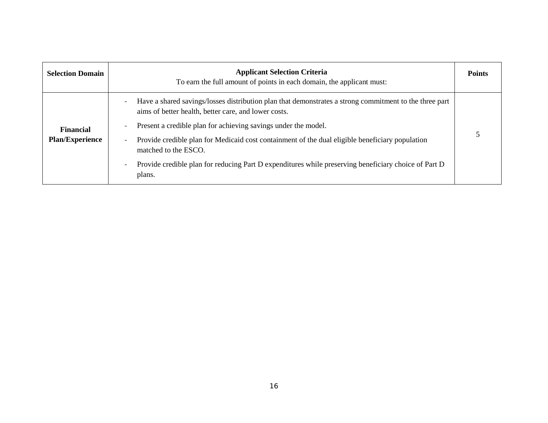| <b>Selection Domain</b>                    | <b>Applicant Selection Criteria</b><br>To earn the full amount of points in each domain, the applicant must:                                                                                                                                                                                                                                                                                                                                                                                                                          | <b>Points</b> |
|--------------------------------------------|---------------------------------------------------------------------------------------------------------------------------------------------------------------------------------------------------------------------------------------------------------------------------------------------------------------------------------------------------------------------------------------------------------------------------------------------------------------------------------------------------------------------------------------|---------------|
| <b>Financial</b><br><b>Plan/Experience</b> | Have a shared savings/losses distribution plan that demonstrates a strong commitment to the three part<br>aims of better health, better care, and lower costs.<br>Present a credible plan for achieving savings under the model.<br>$\overline{\phantom{0}}$<br>Provide credible plan for Medicaid cost containment of the dual eligible beneficiary population<br>$\overline{\phantom{a}}$<br>matched to the ESCO.<br>Provide credible plan for reducing Part D expenditures while preserving beneficiary choice of Part D<br>plans. |               |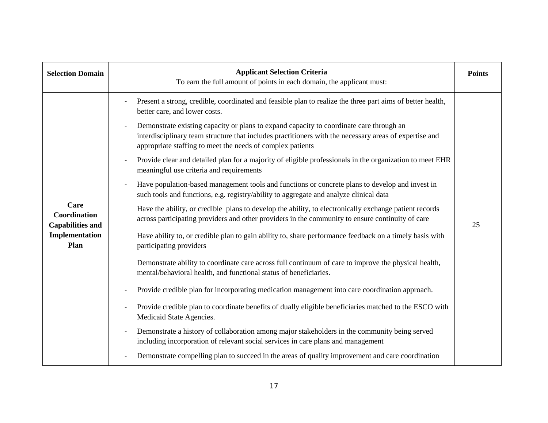| <b>Selection Domain</b>                                                   | <b>Applicant Selection Criteria</b><br>To earn the full amount of points in each domain, the applicant must:                                                                                                                                                    | <b>Points</b> |
|---------------------------------------------------------------------------|-----------------------------------------------------------------------------------------------------------------------------------------------------------------------------------------------------------------------------------------------------------------|---------------|
| Care<br>Coordination<br><b>Capabilities and</b><br>Implementation<br>Plan | Present a strong, credible, coordinated and feasible plan to realize the three part aims of better health,<br>better care, and lower costs.                                                                                                                     |               |
|                                                                           | Demonstrate existing capacity or plans to expand capacity to coordinate care through an<br>interdisciplinary team structure that includes practitioners with the necessary areas of expertise and<br>appropriate staffing to meet the needs of complex patients |               |
|                                                                           | Provide clear and detailed plan for a majority of eligible professionals in the organization to meet EHR<br>meaningful use criteria and requirements                                                                                                            |               |
|                                                                           | Have population-based management tools and functions or concrete plans to develop and invest in<br>such tools and functions, e.g. registry/ability to aggregate and analyze clinical data                                                                       |               |
|                                                                           | Have the ability, or credible plans to develop the ability, to electronically exchange patient records<br>across participating providers and other providers in the community to ensure continuity of care                                                      | 25            |
|                                                                           | Have ability to, or credible plan to gain ability to, share performance feedback on a timely basis with<br>participating providers                                                                                                                              |               |
|                                                                           | Demonstrate ability to coordinate care across full continuum of care to improve the physical health,<br>mental/behavioral health, and functional status of beneficiaries.                                                                                       |               |
|                                                                           | Provide credible plan for incorporating medication management into care coordination approach.                                                                                                                                                                  |               |
|                                                                           | Provide credible plan to coordinate benefits of dually eligible beneficiaries matched to the ESCO with<br>Medicaid State Agencies.                                                                                                                              |               |
|                                                                           | Demonstrate a history of collaboration among major stakeholders in the community being served<br>including incorporation of relevant social services in care plans and management                                                                               |               |
|                                                                           | Demonstrate compelling plan to succeed in the areas of quality improvement and care coordination                                                                                                                                                                |               |